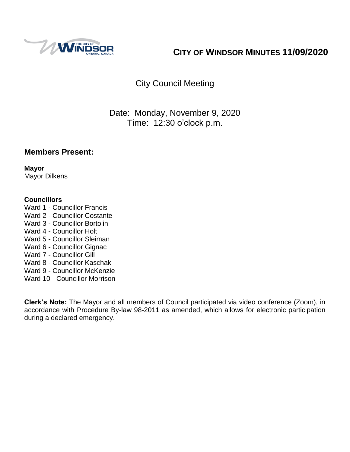

# **CITY OF WINDSOR MINUTES 11/09/2020**

# City Council Meeting

## Date: Monday, November 9, 2020 Time: 12:30 o'clock p.m.

### **Members Present:**

**Mayor** Mayor Dilkens

### **Councillors**

Ward 1 - Councillor Francis Ward 2 - Councillor Costante Ward 3 - Councillor Bortolin Ward 4 - Councillor Holt Ward 5 - Councillor Sleiman Ward 6 - Councillor Gignac Ward 7 - Councillor Gill Ward 8 - Councillor Kaschak Ward 9 - Councillor McKenzie Ward 10 - Councillor Morrison

**Clerk's Note:** The Mayor and all members of Council participated via video conference (Zoom), in accordance with Procedure By-law 98-2011 as amended, which allows for electronic participation during a declared emergency.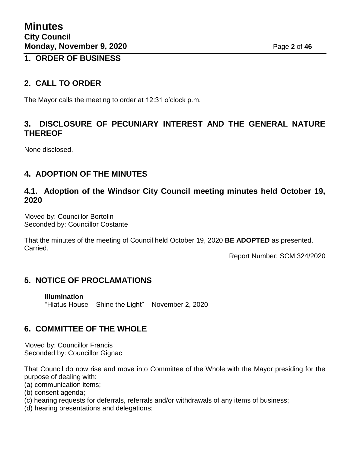### **1. ORDER OF BUSINESS**

## **2. CALL TO ORDER**

The Mayor calls the meeting to order at 12:31 o'clock p.m.

## **3. DISCLOSURE OF PECUNIARY INTEREST AND THE GENERAL NATURE THEREOF**

None disclosed.

## **4. ADOPTION OF THE MINUTES**

### **4.1. Adoption of the Windsor City Council meeting minutes held October 19, 2020**

Moved by: Councillor Bortolin Seconded by: Councillor Costante

That the minutes of the meeting of Council held October 19, 2020 **BE ADOPTED** as presented. Carried.

Report Number: SCM 324/2020

## **5. NOTICE OF PROCLAMATIONS**

**Illumination** "Hiatus House – Shine the Light" – November 2, 2020

### **6. COMMITTEE OF THE WHOLE**

Moved by: Councillor Francis Seconded by: Councillor Gignac

That Council do now rise and move into Committee of the Whole with the Mayor presiding for the purpose of dealing with:

- (a) communication items;
- (b) consent agenda;
- (c) hearing requests for deferrals, referrals and/or withdrawals of any items of business;
- (d) hearing presentations and delegations;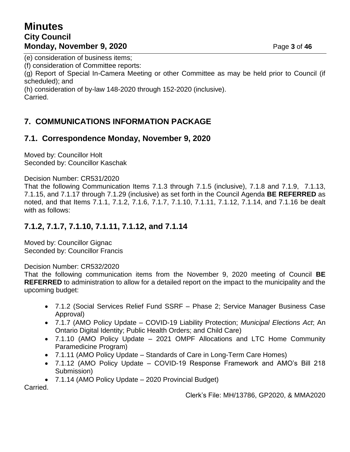## **Minutes City Council Monday, November 9, 2020** Page 3 of 46

(e) consideration of business items;

(f) consideration of Committee reports:

(g) Report of Special In-Camera Meeting or other Committee as may be held prior to Council (if scheduled); and

(h) consideration of by-law 148-2020 through 152-2020 (inclusive).

Carried.

## **7. COMMUNICATIONS INFORMATION PACKAGE**

## **7.1. Correspondence Monday, November 9, 2020**

Moved by: Councillor Holt Seconded by: Councillor Kaschak

Decision Number: CR531/2020

That the following Communication Items 7.1.3 through 7.1.5 (inclusive), 7.1.8 and 7.1.9, 7.1.13, 7.1.15, and 7.1.17 through 7.1.29 (inclusive) as set forth in the Council Agenda **BE REFERRED** as noted, and that Items 7.1.1, 7.1.2, 7.1.6, 7.1.7, 7.1.10, 7.1.11, 7.1.12, 7.1.14, and 7.1.16 be dealt with as follows:

## **7.1.2, 7.1.7, 7.1.10, 7.1.11, 7.1.12, and 7.1.14**

Moved by: Councillor Gignac Seconded by: Councillor Francis

Decision Number: CR532/2020

That the following communication items from the November 9, 2020 meeting of Council **BE REFERRED** to administration to allow for a detailed report on the impact to the municipality and the upcoming budget:

- 7.1.2 (Social Services Relief Fund SSRF Phase 2; Service Manager Business Case Approval)
- 7.1.7 (AMO Policy Update COVID-19 Liability Protection; *Municipal Elections Act*; An Ontario Digital Identity; Public Health Orders; and Child Care)
- 7.1.10 (AMO Policy Update 2021 OMPF Allocations and LTC Home Community Paramedicine Program)
- 7.1.11 (AMO Policy Update Standards of Care in Long-Term Care Homes)
- 7.1.12 (AMO Policy Update COVID-19 Response Framework and AMO's Bill 218 Submission)
- 7.1.14 (AMO Policy Update 2020 Provincial Budget)

Carried.

Clerk's File: MH/13786, GP2020, & MMA2020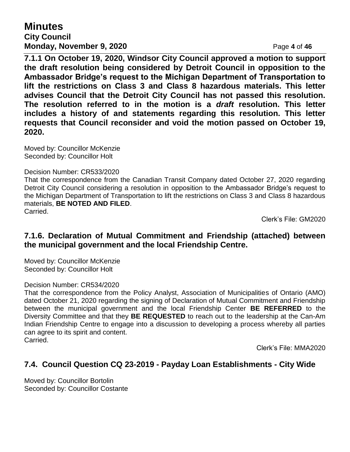# **Minutes**

### **City Council Monday, November 9, 2020** Page 4 of 46

**7.1.1 On October 19, 2020, Windsor City Council approved a motion to support the draft resolution being considered by Detroit Council in opposition to the Ambassador Bridge's request to the Michigan Department of Transportation to lift the restrictions on Class 3 and Class 8 hazardous materials. This letter advises Council that the Detroit City Council has not passed this resolution. The resolution referred to in the motion is a** *draft* **resolution. This letter includes a history of and statements regarding this resolution. This letter requests that Council reconsider and void the motion passed on October 19, 2020.**

Moved by: Councillor McKenzie Seconded by: Councillor Holt

### Decision Number: CR533/2020

That the correspondence from the Canadian Transit Company dated October 27, 2020 regarding Detroit City Council considering a resolution in opposition to the Ambassador Bridge's request to the Michigan Department of Transportation to lift the restrictions on Class 3 and Class 8 hazardous materials, **BE NOTED AND FILED**. Carried.

Clerk's File: GM2020

### **7.1.6. Declaration of Mutual Commitment and Friendship (attached) between the municipal government and the local Friendship Centre.**

Moved by: Councillor McKenzie Seconded by: Councillor Holt

### Decision Number: CR534/2020

That the correspondence from the Policy Analyst, Association of Municipalities of Ontario (AMO) dated October 21, 2020 regarding the signing of Declaration of Mutual Commitment and Friendship between the municipal government and the local Friendship Center **BE REFERRED** to the Diversity Committee and that they **BE REQUESTED** to reach out to the leadership at the Can-Am Indian Friendship Centre to engage into a discussion to developing a process whereby all parties can agree to its spirit and content. Carried.

Clerk's File: MMA2020

### **7.4. Council Question CQ 23-2019 - Payday Loan Establishments - City Wide**

Moved by: Councillor Bortolin Seconded by: Councillor Costante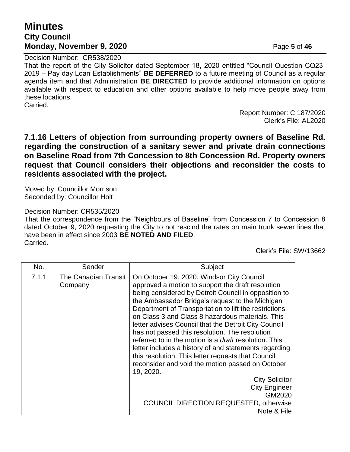## **Minutes City Council Monday, November 9, 2020** Page 5 of 46

Decision Number: CR538/2020

That the report of the City Solicitor dated September 18, 2020 entitled "Council Question CQ23- 2019 – Pay day Loan Establishments" **BE DEFERRED** to a future meeting of Council as a regular agenda item and that Administration **BE DIRECTED** to provide additional information on options available with respect to education and other options available to help move people away from these locations. Carried.

> Report Number: C 187/2020 Clerk's File: AL2020

**7.1.16 Letters of objection from surrounding property owners of Baseline Rd. regarding the construction of a sanitary sewer and private drain connections on Baseline Road from 7th Concession to 8th Concession Rd. Property owners request that Council considers their objections and reconsider the costs to residents associated with the project.**

Moved by: Councillor Morrison Seconded by: Councillor Holt

### Decision Number: CR535/2020

That the correspondence from the "Neighbours of Baseline" from Concession 7 to Concession 8 dated October 9, 2020 requesting the City to not rescind the rates on main trunk sewer lines that have been in effect since 2003 **BE NOTED AND FILED**. Carried.

Clerk's File: SW/13662

| No.   | Sender                          | Subject                                                                                                                                                                                                                                                                                                                                                                                                                                                                                                                                                                                                                                                                                                                                                                                                     |
|-------|---------------------------------|-------------------------------------------------------------------------------------------------------------------------------------------------------------------------------------------------------------------------------------------------------------------------------------------------------------------------------------------------------------------------------------------------------------------------------------------------------------------------------------------------------------------------------------------------------------------------------------------------------------------------------------------------------------------------------------------------------------------------------------------------------------------------------------------------------------|
| 7.1.1 | The Canadian Transit<br>Company | On October 19, 2020, Windsor City Council<br>approved a motion to support the draft resolution<br>being considered by Detroit Council in opposition to<br>the Ambassador Bridge's request to the Michigan<br>Department of Transportation to lift the restrictions<br>on Class 3 and Class 8 hazardous materials. This<br>letter advises Council that the Detroit City Council<br>has not passed this resolution. The resolution<br>referred to in the motion is a <i>draft</i> resolution. This<br>letter includes a history of and statements regarding<br>this resolution. This letter requests that Council<br>reconsider and void the motion passed on October<br>19, 2020.<br><b>City Solicitor</b><br><b>City Engineer</b><br>GM2020<br><b>COUNCIL DIRECTION REQUESTED, otherwise</b><br>Note & File |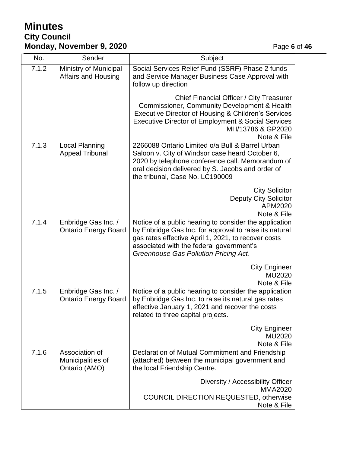# **Minutes City Council Monday, November 9, 2020 Page 6** of 46

| No.   | Sender                                               | Subject                                                                                                                                                                                                                                                      |
|-------|------------------------------------------------------|--------------------------------------------------------------------------------------------------------------------------------------------------------------------------------------------------------------------------------------------------------------|
| 7.1.2 | Ministry of Municipal<br>Affairs and Housing         | Social Services Relief Fund (SSRF) Phase 2 funds<br>and Service Manager Business Case Approval with<br>follow up direction                                                                                                                                   |
|       |                                                      | Chief Financial Officer / City Treasurer<br>Commissioner, Community Development & Health<br>Executive Director of Housing & Children's Services<br><b>Executive Director of Employment &amp; Social Services</b><br>MH/13786 & GP2020<br>Note & File         |
| 7.1.3 | Local Planning<br><b>Appeal Tribunal</b>             | 2266088 Ontario Limited o/a Bull & Barrel Urban<br>Saloon v. City of Windsor case heard October 6,<br>2020 by telephone conference call. Memorandum of<br>oral decision delivered by S. Jacobs and order of<br>the tribunal, Case No. LC190009               |
|       |                                                      | <b>City Solicitor</b><br><b>Deputy City Solicitor</b><br>APM2020<br>Note & File                                                                                                                                                                              |
| 7.1.4 | Enbridge Gas Inc. /<br><b>Ontario Energy Board</b>   | Notice of a public hearing to consider the application<br>by Enbridge Gas Inc. for approval to raise its natural<br>gas rates effective April 1, 2021, to recover costs<br>associated with the federal government's<br>Greenhouse Gas Pollution Pricing Act. |
|       |                                                      | <b>City Engineer</b><br>MU2020<br>Note & File                                                                                                                                                                                                                |
| 7.1.5 | Enbridge Gas Inc. /<br><b>Ontario Energy Board</b>   | Notice of a public hearing to consider the application<br>by Enbridge Gas Inc. to raise its natural gas rates<br>effective January 1, 2021 and recover the costs<br>related to three capital projects.                                                       |
|       |                                                      | <b>City Engineer</b><br>MU2020<br>Note & File                                                                                                                                                                                                                |
| 7.1.6 | Association of<br>Municipalities of<br>Ontario (AMO) | Declaration of Mutual Commitment and Friendship<br>(attached) between the municipal government and<br>the local Friendship Centre.                                                                                                                           |
|       |                                                      | Diversity / Accessibility Officer<br><b>MMA2020</b><br><b>COUNCIL DIRECTION REQUESTED, otherwise</b><br>Note & File                                                                                                                                          |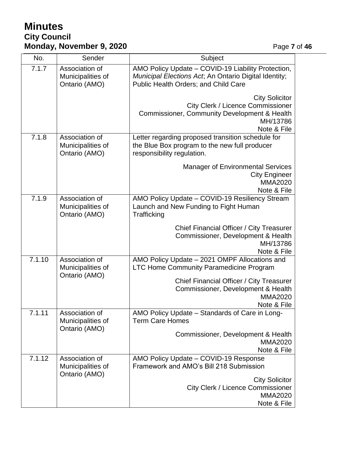# **Minutes City Council Monday, November 9, 2020 Page 7** of 46

| No.    | Sender                                               | Subject                                                                                                                                             |
|--------|------------------------------------------------------|-----------------------------------------------------------------------------------------------------------------------------------------------------|
| 7.1.7  | Association of<br>Municipalities of<br>Ontario (AMO) | AMO Policy Update - COVID-19 Liability Protection,<br>Municipal Elections Act; An Ontario Digital Identity;<br>Public Health Orders; and Child Care |
|        |                                                      | <b>City Solicitor</b><br><b>City Clerk / Licence Commissioner</b><br>Commissioner, Community Development & Health<br>MH/13786<br>Note & File        |
| 7.1.8  | Association of<br>Municipalities of<br>Ontario (AMO) | Letter regarding proposed transition schedule for<br>the Blue Box program to the new full producer<br>responsibility regulation.                    |
|        |                                                      | <b>Manager of Environmental Services</b><br><b>City Engineer</b><br><b>MMA2020</b><br>Note & File                                                   |
| 7.1.9  | Association of<br>Municipalities of<br>Ontario (AMO) | AMO Policy Update - COVID-19 Resiliency Stream<br>Launch and New Funding to Fight Human<br>Trafficking                                              |
|        |                                                      | Chief Financial Officer / City Treasurer<br>Commissioner, Development & Health<br>MH/13786<br>Note & File                                           |
| 7.1.10 | Association of<br>Municipalities of                  | AMO Policy Update - 2021 OMPF Allocations and<br>LTC Home Community Paramedicine Program                                                            |
|        | Ontario (AMO)                                        | Chief Financial Officer / City Treasurer<br>Commissioner, Development & Health<br><b>MMA2020</b><br>Note & File                                     |
| 7.1.11 | Association of<br>Municipalities of                  | AMO Policy Update - Standards of Care in Long-<br><b>Term Care Homes</b>                                                                            |
|        | Ontario (AMO)                                        | Commissioner, Development & Health<br><b>MMA2020</b><br>Note & File                                                                                 |
| 7.1.12 | Association of<br>Municipalities of<br>Ontario (AMO) | AMO Policy Update - COVID-19 Response<br>Framework and AMO's Bill 218 Submission                                                                    |
|        |                                                      | <b>City Solicitor</b><br><b>City Clerk / Licence Commissioner</b><br><b>MMA2020</b><br>Note & File                                                  |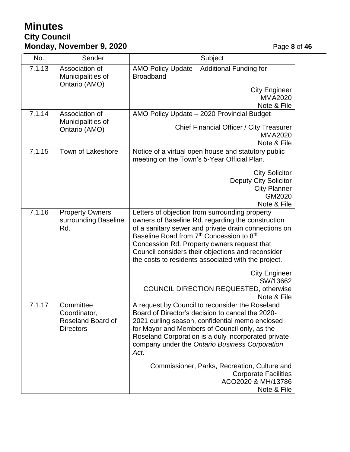# **Minutes City Council Monday, November 9, 2020 Page 8** of 46

| No.    | Sender                                                             | Subject                                                                                                                                                                                                                                                                                                                                                                                                                                                                                        |
|--------|--------------------------------------------------------------------|------------------------------------------------------------------------------------------------------------------------------------------------------------------------------------------------------------------------------------------------------------------------------------------------------------------------------------------------------------------------------------------------------------------------------------------------------------------------------------------------|
| 7.1.13 | Association of<br>Municipalities of                                | AMO Policy Update - Additional Funding for<br><b>Broadband</b>                                                                                                                                                                                                                                                                                                                                                                                                                                 |
|        | Ontario (AMO)                                                      | <b>City Engineer</b><br><b>MMA2020</b><br>Note & File                                                                                                                                                                                                                                                                                                                                                                                                                                          |
| 7.1.14 | Association of<br>Municipalities of<br>Ontario (AMO)               | AMO Policy Update - 2020 Provincial Budget<br>Chief Financial Officer / City Treasurer<br><b>MMA2020</b><br>Note & File                                                                                                                                                                                                                                                                                                                                                                        |
| 7.1.15 | Town of Lakeshore                                                  | Notice of a virtual open house and statutory public<br>meeting on the Town's 5-Year Official Plan.<br><b>City Solicitor</b><br><b>Deputy City Solicitor</b><br><b>City Planner</b><br>GM2020<br>Note & File                                                                                                                                                                                                                                                                                    |
| 7.1.16 | <b>Property Owners</b><br>surrounding Baseline<br>Rd.              | Letters of objection from surrounding property<br>owners of Baseline Rd. regarding the construction<br>of a sanitary sewer and private drain connections on<br>Baseline Road from 7 <sup>th</sup> Concession to 8 <sup>th</sup><br>Concession Rd. Property owners request that<br>Council considers their objections and reconsider<br>the costs to residents associated with the project.<br><b>City Engineer</b><br>SW/13662<br><b>COUNCIL DIRECTION REQUESTED, otherwise</b><br>Note & File |
| 7.1.17 | Committee<br>Coordinator,<br>Roseland Board of<br><b>Directors</b> | A request by Council to reconsider the Roseland<br>Board of Director's decision to cancel the 2020-<br>2021 curling season, confidential memo enclosed<br>for Mayor and Members of Council only, as the<br>Roseland Corporation is a duly incorporated private<br>company under the Ontario Business Corporation<br>Act.<br>Commissioner, Parks, Recreation, Culture and<br><b>Corporate Facilities</b><br>ACO2020 & MH/13786<br>Note & File                                                   |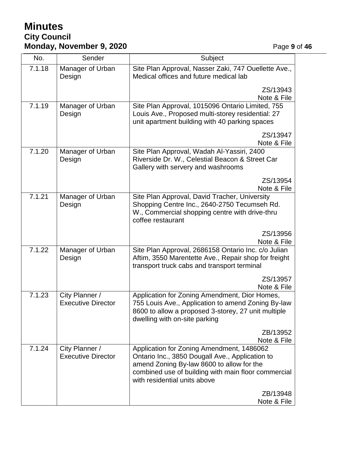# **Minutes City Council Monday, November 9, 2020 Page 9 of 46**

| No.    | Sender                                      | Subject                                                                                                                                                                                                                                      |  |
|--------|---------------------------------------------|----------------------------------------------------------------------------------------------------------------------------------------------------------------------------------------------------------------------------------------------|--|
| 7.1.18 | Manager of Urban<br>Design                  | Site Plan Approval, Nasser Zaki, 747 Ouellette Ave.,<br>Medical offices and future medical lab                                                                                                                                               |  |
|        |                                             | ZS/13943<br>Note & File                                                                                                                                                                                                                      |  |
| 7.1.19 | Manager of Urban<br>Design                  | Site Plan Approval, 1015096 Ontario Limited, 755<br>Louis Ave., Proposed multi-storey residential: 27<br>unit apartment building with 40 parking spaces                                                                                      |  |
|        |                                             | ZS/13947<br>Note & File                                                                                                                                                                                                                      |  |
| 7.1.20 | Manager of Urban<br>Design                  | Site Plan Approval, Wadah Al-Yassiri, 2400<br>Riverside Dr. W., Celestial Beacon & Street Car<br>Gallery with servery and washrooms                                                                                                          |  |
|        |                                             | ZS/13954<br>Note & File                                                                                                                                                                                                                      |  |
| 7.1.21 | Manager of Urban<br>Design                  | Site Plan Approval, David Tracher, University<br>Shopping Centre Inc., 2640-2750 Tecumseh Rd.<br>W., Commercial shopping centre with drive-thru<br>coffee restaurant                                                                         |  |
|        |                                             | ZS/13956<br>Note & File                                                                                                                                                                                                                      |  |
| 7.1.22 | Manager of Urban<br>Design                  | Site Plan Approval, 2686158 Ontario Inc. c/o Julian<br>Aftim, 3550 Marentette Ave., Repair shop for freight<br>transport truck cabs and transport terminal                                                                                   |  |
|        |                                             | ZS/13957<br>Note & File                                                                                                                                                                                                                      |  |
| 7.1.23 | City Planner /<br><b>Executive Director</b> | Application for Zoning Amendment, Dior Homes,<br>755 Louis Ave., Application to amend Zoning By-law<br>8600 to allow a proposed 3-storey, 27 unit multiple<br>dwelling with on-site parking                                                  |  |
|        |                                             | ZB/13952<br>Note & File                                                                                                                                                                                                                      |  |
| 7.1.24 | City Planner /<br><b>Executive Director</b> | Application for Zoning Amendment, 1486062<br>Ontario Inc., 3850 Dougall Ave., Application to<br>amend Zoning By-law 8600 to allow for the<br>combined use of building with main floor commercial<br>with residential units above<br>ZB/13948 |  |
|        |                                             | Note & File                                                                                                                                                                                                                                  |  |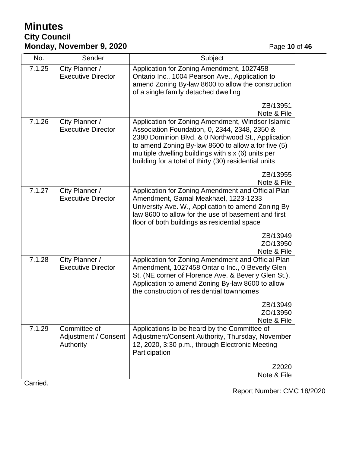# **Minutes City Council Monday, November 9, 2020 Page 10 of 46**

| No.    | Sender                                            | Subject                                                                                                                                                                                                                                                                                                                        |
|--------|---------------------------------------------------|--------------------------------------------------------------------------------------------------------------------------------------------------------------------------------------------------------------------------------------------------------------------------------------------------------------------------------|
| 7.1.25 | City Planner /<br><b>Executive Director</b>       | Application for Zoning Amendment, 1027458<br>Ontario Inc., 1004 Pearson Ave., Application to<br>amend Zoning By-law 8600 to allow the construction<br>of a single family detached dwelling                                                                                                                                     |
|        |                                                   | ZB/13951<br>Note & File                                                                                                                                                                                                                                                                                                        |
| 7.1.26 | City Planner /<br><b>Executive Director</b>       | Application for Zoning Amendment, Windsor Islamic<br>Association Foundation, 0, 2344, 2348, 2350 &<br>2380 Dominion Blvd. & 0 Northwood St., Application<br>to amend Zoning By-law 8600 to allow a for five (5)<br>multiple dwelling buildings with six (6) units per<br>building for a total of thirty (30) residential units |
|        |                                                   | ZB/13955<br>Note & File                                                                                                                                                                                                                                                                                                        |
| 7.1.27 | City Planner /<br><b>Executive Director</b>       | Application for Zoning Amendment and Official Plan<br>Amendment, Gamal Meakhael, 1223-1233<br>University Ave. W., Application to amend Zoning By-<br>law 8600 to allow for the use of basement and first<br>floor of both buildings as residential space                                                                       |
|        |                                                   | ZB/13949<br>ZO/13950<br>Note & File                                                                                                                                                                                                                                                                                            |
| 7.1.28 | City Planner /<br><b>Executive Director</b>       | Application for Zoning Amendment and Official Plan<br>Amendment, 1027458 Ontario Inc., 0 Beverly Glen<br>St. (NE corner of Florence Ave. & Beverly Glen St.),<br>Application to amend Zoning By-law 8600 to allow<br>the construction of residential townhomes                                                                 |
|        |                                                   | ZB/13949<br>ZO/13950<br>Note & File                                                                                                                                                                                                                                                                                            |
| 7.1.29 | Committee of<br>Adjustment / Consent<br>Authority | Applications to be heard by the Committee of<br>Adjustment/Consent Authority, Thursday, November<br>12, 2020, 3:30 p.m., through Electronic Meeting<br>Participation                                                                                                                                                           |
|        |                                                   | Z2020<br>Note & File                                                                                                                                                                                                                                                                                                           |

Carried.

Report Number: CMC 18/2020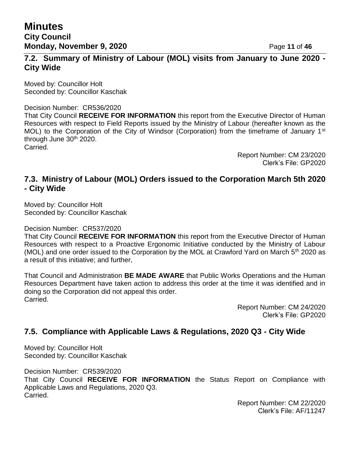## **7.2. Summary of Ministry of Labour (MOL) visits from January to June 2020 - City Wide**

Moved by: Councillor Holt Seconded by: Councillor Kaschak

Decision Number: CR536/2020 That City Council **RECEIVE FOR INFORMATION** this report from the Executive Director of Human Resources with respect to Field Reports issued by the Ministry of Labour (hereafter known as the MOL) to the Corporation of the City of Windsor (Corporation) from the timeframe of January 1<sup>st</sup> through June 30<sup>th</sup> 2020. Carried.

> Report Number: CM 23/2020 Clerk's File: GP2020

### **7.3. Ministry of Labour (MOL) Orders issued to the Corporation March 5th 2020 - City Wide**

Moved by: Councillor Holt Seconded by: Councillor Kaschak

Decision Number: CR537/2020

That City Council **RECEIVE FOR INFORMATION** this report from the Executive Director of Human Resources with respect to a Proactive Ergonomic Initiative conducted by the Ministry of Labour (MOL) and one order issued to the Corporation by the MOL at Crawford Yard on March  $5<sup>th</sup>$  2020 as a result of this initiative; and further,

That Council and Administration **BE MADE AWARE** that Public Works Operations and the Human Resources Department have taken action to address this order at the time it was identified and in doing so the Corporation did not appeal this order. Carried.

> Report Number: CM 24/2020 Clerk's File: GP2020

### **7.5. Compliance with Applicable Laws & Regulations, 2020 Q3 - City Wide**

Moved by: Councillor Holt Seconded by: Councillor Kaschak

Decision Number: CR539/2020 That City Council **RECEIVE FOR INFORMATION** the Status Report on Compliance with Applicable Laws and Regulations, 2020 Q3. **Carried** 

> Report Number: CM 22/2020 Clerk's File: AF/11247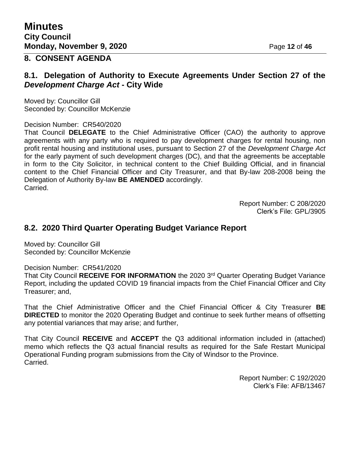## **8. CONSENT AGENDA**

### **8.1. Delegation of Authority to Execute Agreements Under Section 27 of the**  *Development Charge Act* **- City Wide**

Moved by: Councillor Gill Seconded by: Councillor McKenzie

Decision Number: CR540/2020

That Council **DELEGATE** to the Chief Administrative Officer (CAO) the authority to approve agreements with any party who is required to pay development charges for rental housing, non profit rental housing and institutional uses, pursuant to Section 27 of the *Development Charge Act* for the early payment of such development charges (DC), and that the agreements be acceptable in form to the City Solicitor, in technical content to the Chief Building Official, and in financial content to the Chief Financial Officer and City Treasurer, and that By-law 208-2008 being the Delegation of Authority By-law **BE AMENDED** accordingly. Carried.

> Report Number: C 208/2020 Clerk's File: GPL/3905

### **8.2. 2020 Third Quarter Operating Budget Variance Report**

Moved by: Councillor Gill Seconded by: Councillor McKenzie

Decision Number: CR541/2020

That City Council **RECEIVE FOR INFORMATION** the 2020 3rd Quarter Operating Budget Variance Report, including the updated COVID 19 financial impacts from the Chief Financial Officer and City Treasurer; and,

That the Chief Administrative Officer and the Chief Financial Officer & City Treasurer **BE DIRECTED** to monitor the 2020 Operating Budget and continue to seek further means of offsetting any potential variances that may arise; and further,

That City Council **RECEIVE** and **ACCEPT** the Q3 additional information included in (attached) memo which reflects the Q3 actual financial results as required for the Safe Restart Municipal Operational Funding program submissions from the City of Windsor to the Province. Carried.

> Report Number: C 192/2020 Clerk's File: AFB/13467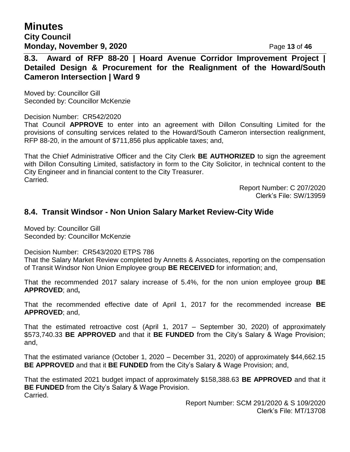**Minutes City Council Monday, November 9, 2020 Page 13 of 46** 

**8.3. Award of RFP 88-20 | Hoard Avenue Corridor Improvement Project | Detailed Design & Procurement for the Realignment of the Howard/South Cameron Intersection | Ward 9**

Moved by: Councillor Gill Seconded by: Councillor McKenzie

Decision Number: CR542/2020

That Council **APPROVE** to enter into an agreement with Dillon Consulting Limited for the provisions of consulting services related to the Howard/South Cameron intersection realignment, RFP 88-20, in the amount of \$711,856 plus applicable taxes; and,

That the Chief Administrative Officer and the City Clerk **BE AUTHORIZED** to sign the agreement with Dillon Consulting Limited, satisfactory in form to the City Solicitor, in technical content to the City Engineer and in financial content to the City Treasurer. Carried.

> Report Number: C 207/2020 Clerk's File: SW/13959

### **8.4. Transit Windsor - Non Union Salary Market Review-City Wide**

Moved by: Councillor Gill Seconded by: Councillor McKenzie

Decision Number: CR543/2020 ETPS 786

That the Salary Market Review completed by Annetts & Associates, reporting on the compensation of Transit Windsor Non Union Employee group **BE RECEIVED** for information; and,

That the recommended 2017 salary increase of 5.4%, for the non union employee group **BE APPROVED**; and**,**

That the recommended effective date of April 1, 2017 for the recommended increase **BE APPROVED**; and,

That the estimated retroactive cost (April 1, 2017 – September 30, 2020) of approximately \$573,740.33 **BE APPROVED** and that it **BE FUNDED** from the City's Salary & Wage Provision; and,

That the estimated variance (October 1, 2020 – December 31, 2020) of approximately \$44,662.15 **BE APPROVED** and that it **BE FUNDED** from the City's Salary & Wage Provision; and,

That the estimated 2021 budget impact of approximately \$158,388.63 **BE APPROVED** and that it **BE FUNDED** from the City's Salary & Wage Provision. Carried.

> Report Number: SCM 291/2020 & S 109/2020 Clerk's File: MT/13708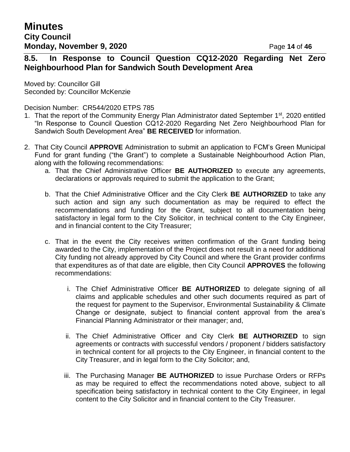## **8.5. In Response to Council Question CQ12-2020 Regarding Net Zero Neighbourhood Plan for Sandwich South Development Area**

Moved by: Councillor Gill Seconded by: Councillor McKenzie

Decision Number: CR544/2020 ETPS 785

- 1. That the report of the Community Energy Plan Administrator dated September 1<sup>st</sup>, 2020 entitled "In Response to Council Question CQ12-2020 Regarding Net Zero Neighbourhood Plan for Sandwich South Development Area" **BE RECEIVED** for information.
- 2. That City Council **APPROVE** Administration to submit an application to FCM's Green Municipal Fund for grant funding ("the Grant") to complete a Sustainable Neighbourhood Action Plan, along with the following recommendations:
	- a. That the Chief Administrative Officer **BE AUTHORIZED** to execute any agreements, declarations or approvals required to submit the application to the Grant;
	- b. That the Chief Administrative Officer and the City Clerk **BE AUTHORIZED** to take any such action and sign any such documentation as may be required to effect the recommendations and funding for the Grant, subject to all documentation being satisfactory in legal form to the City Solicitor, in technical content to the City Engineer, and in financial content to the City Treasurer;
	- c. That in the event the City receives written confirmation of the Grant funding being awarded to the City, implementation of the Project does not result in a need for additional City funding not already approved by City Council and where the Grant provider confirms that expenditures as of that date are eligible, then City Council **APPROVES** the following recommendations:
		- i. The Chief Administrative Officer **BE AUTHORIZED** to delegate signing of all claims and applicable schedules and other such documents required as part of the request for payment to the Supervisor, Environmental Sustainability & Climate Change or designate, subject to financial content approval from the area's Financial Planning Administrator or their manager; and,
		- ii. The Chief Administrative Officer and City Clerk **BE AUTHORIZED** to sign agreements or contracts with successful vendors / proponent / bidders satisfactory in technical content for all projects to the City Engineer, in financial content to the City Treasurer, and in legal form to the City Solicitor; and,
		- iii. The Purchasing Manager **BE AUTHORIZED** to issue Purchase Orders or RFPs as may be required to effect the recommendations noted above, subject to all specification being satisfactory in technical content to the City Engineer, in legal content to the City Solicitor and in financial content to the City Treasurer.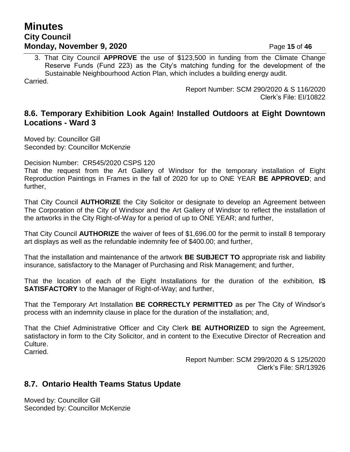## **Minutes City Council Monday, November 9, 2020** Page 15 of 46

3. That City Council **APPROVE** the use of \$123,500 in funding from the Climate Change Reserve Funds (Fund 223) as the City's matching funding for the development of the Sustainable Neighbourhood Action Plan, which includes a building energy audit.

Carried.

Report Number: SCM 290/2020 & S 116/2020 Clerk's File: EI/10822

### **8.6. Temporary Exhibition Look Again! Installed Outdoors at Eight Downtown Locations - Ward 3**

Moved by: Councillor Gill Seconded by: Councillor McKenzie

Decision Number: CR545/2020 CSPS 120

That the request from the Art Gallery of Windsor for the temporary installation of Eight Reproduction Paintings in Frames in the fall of 2020 for up to ONE YEAR **BE APPROVED**; and further,

That City Council **AUTHORIZE** the City Solicitor or designate to develop an Agreement between The Corporation of the City of Windsor and the Art Gallery of Windsor to reflect the installation of the artworks in the City Right-of-Way for a period of up to ONE YEAR; and further,

That City Council **AUTHORIZE** the waiver of fees of \$1,696.00 for the permit to install 8 temporary art displays as well as the refundable indemnity fee of \$400.00; and further,

That the installation and maintenance of the artwork **BE SUBJECT TO** appropriate risk and liability insurance, satisfactory to the Manager of Purchasing and Risk Management; and further,

That the location of each of the Eight Installations for the duration of the exhibition, **IS SATISFACTORY** to the Manager of Right-of-Way; and further,

That the Temporary Art Installation **BE CORRECTLY PERMITTED** as per The City of Windsor's process with an indemnity clause in place for the duration of the installation; and,

That the Chief Administrative Officer and City Clerk **BE AUTHORIZED** to sign the Agreement, satisfactory in form to the City Solicitor, and in content to the Executive Director of Recreation and Culture.

Carried.

Report Number: SCM 299/2020 & S 125/2020 Clerk's File: SR/13926

## **8.7. Ontario Health Teams Status Update**

Moved by: Councillor Gill Seconded by: Councillor McKenzie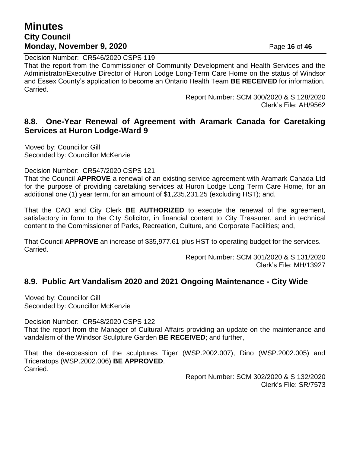## **Minutes City Council Monday, November 9, 2020** Page 16 of 46

Decision Number: CR546/2020 CSPS 119 That the report from the Commissioner of Community Development and Health Services and the Administrator/Executive Director of Huron Lodge Long-Term Care Home on the status of Windsor and Essex County's application to become an Ontario Health Team **BE RECEIVED** for information. Carried.

> Report Number: SCM 300/2020 & S 128/2020 Clerk's File: AH/9562

### **8.8. One-Year Renewal of Agreement with Aramark Canada for Caretaking Services at Huron Lodge-Ward 9**

Moved by: Councillor Gill Seconded by: Councillor McKenzie

Decision Number: CR547/2020 CSPS 121

That the Council **APPROVE** a renewal of an existing service agreement with Aramark Canada Ltd for the purpose of providing caretaking services at Huron Lodge Long Term Care Home, for an additional one (1) year term, for an amount of \$1,235,231.25 (excluding HST); and,

That the CAO and City Clerk **BE AUTHORIZED** to execute the renewal of the agreement, satisfactory in form to the City Solicitor, in financial content to City Treasurer, and in technical content to the Commissioner of Parks, Recreation, Culture, and Corporate Facilities; and,

That Council **APPROVE** an increase of \$35,977.61 plus HST to operating budget for the services. Carried.

> Report Number: SCM 301/2020 & S 131/2020 Clerk's File: MH/13927

### **8.9. Public Art Vandalism 2020 and 2021 Ongoing Maintenance - City Wide**

Moved by: Councillor Gill Seconded by: Councillor McKenzie

Decision Number: CR548/2020 CSPS 122 That the report from the Manager of Cultural Affairs providing an update on the maintenance and vandalism of the Windsor Sculpture Garden **BE RECEIVED**; and further,

That the de-accession of the sculptures Tiger (WSP.2002.007), Dino (WSP.2002.005) and Triceratops (WSP.2002.006) **BE APPROVED**. Carried.

> Report Number: SCM 302/2020 & S 132/2020 Clerk's File: SR/7573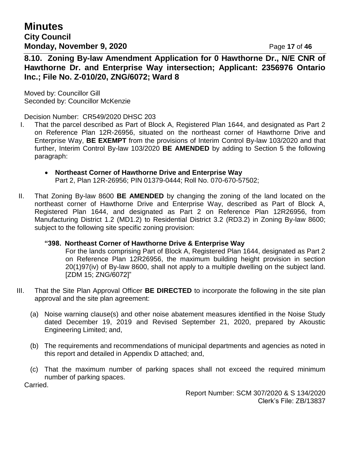**Minutes City Council Monday, November 9, 2020** Page 17 of 46

**8.10. Zoning By-law Amendment Application for 0 Hawthorne Dr., N/E CNR of Hawthorne Dr. and Enterprise Way intersection; Applicant: 2356976 Ontario Inc.; File No. Z-010/20, ZNG/6072; Ward 8**

Moved by: Councillor Gill Seconded by: Councillor McKenzie

Decision Number: CR549/2020 DHSC 203

- I. That the parcel described as Part of Block A, Registered Plan 1644, and designated as Part 2 on Reference Plan 12R-26956, situated on the northeast corner of Hawthorne Drive and Enterprise Way, **BE EXEMPT** from the provisions of Interim Control By-law 103/2020 and that further, Interim Control By-law 103/2020 **BE AMENDED** by adding to Section 5 the following paragraph:
	- **Northeast Corner of Hawthorne Drive and Enterprise Way** Part 2, Plan 12R-26956; PIN 01379-0444; Roll No. 070-670-57502;
- II. That Zoning By-law 8600 **BE AMENDED** by changing the zoning of the land located on the northeast corner of Hawthorne Drive and Enterprise Way, described as Part of Block A, Registered Plan 1644, and designated as Part 2 on Reference Plan 12R26956, from Manufacturing District 1.2 (MD1.2) to Residential District 3.2 (RD3.2) in Zoning By-law 8600; subject to the following site specific zoning provision:

### **"398. Northeast Corner of Hawthorne Drive & Enterprise Way**

For the lands comprising Part of Block A, Registered Plan 1644, designated as Part 2 on Reference Plan 12R26956, the maximum building height provision in section 20(1)97(iv) of By-law 8600, shall not apply to a multiple dwelling on the subject land. [ZDM 15; ZNG/6072]"

- III. That the Site Plan Approval Officer **BE DIRECTED** to incorporate the following in the site plan approval and the site plan agreement:
	- (a) Noise warning clause(s) and other noise abatement measures identified in the Noise Study dated December 19, 2019 and Revised September 21, 2020, prepared by Akoustic Engineering Limited; and,
	- (b) The requirements and recommendations of municipal departments and agencies as noted in this report and detailed in Appendix D attached; and,
	- (c) That the maximum number of parking spaces shall not exceed the required minimum number of parking spaces.

Carried.

Report Number: SCM 307/2020 & S 134/2020 Clerk's File: ZB/13837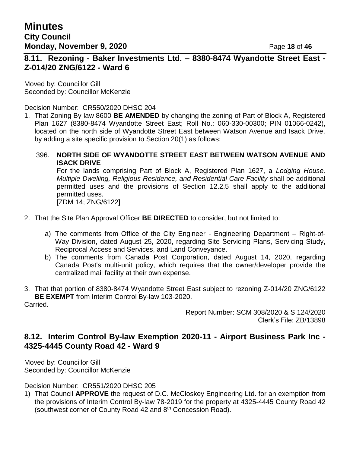## **8.11. Rezoning - Baker Investments Ltd. – 8380-8474 Wyandotte Street East - Z-014/20 ZNG/6122 - Ward 6**

Moved by: Councillor Gill Seconded by: Councillor McKenzie

Decision Number: CR550/2020 DHSC 204

1. That Zoning By-law 8600 **BE AMENDED** by changing the zoning of Part of Block A, Registered Plan 1627 (8380-8474 Wyandotte Street East; Roll No.: 060-330-00300; PIN 01066-0242), located on the north side of Wyandotte Street East between Watson Avenue and Isack Drive, by adding a site specific provision to Section 20(1) as follows:

### 396. **NORTH SIDE OF WYANDOTTE STREET EAST BETWEEN WATSON AVENUE AND ISACK DRIVE**

For the lands comprising Part of Block A, Registered Plan 1627, a *Lodging House, Multiple Dwelling, Religious Residence, and Residential Care Facility* shall be additional permitted uses and the provisions of Section 12.2.5 shall apply to the additional permitted uses. [ZDM 14; ZNG/6122]

- 2. That the Site Plan Approval Officer **BE DIRECTED** to consider, but not limited to:
	- a) The comments from Office of the City Engineer Engineering Department Right-of-Way Division, dated August 25, 2020, regarding Site Servicing Plans, Servicing Study, Reciprocal Access and Services, and Land Conveyance.
	- b) The comments from Canada Post Corporation, dated August 14, 2020, regarding Canada Post's multi-unit policy, which requires that the owner/developer provide the centralized mail facility at their own expense.
- 3. That that portion of 8380-8474 Wyandotte Street East subject to rezoning Z-014/20 ZNG/6122 **BE EXEMPT** from Interim Control By-law 103-2020. Carried.

Report Number: SCM 308/2020 & S 124/2020 Clerk's File: ZB/13898

### **8.12. Interim Control By-law Exemption 2020-11 - Airport Business Park Inc - 4325-4445 County Road 42 - Ward 9**

Moved by: Councillor Gill Seconded by: Councillor McKenzie

Decision Number: CR551/2020 DHSC 205

1) That Council **APPROVE** the request of D.C. McCloskey Engineering Ltd. for an exemption from the provisions of Interim Control By-law 78-2019 for the property at 4325-4445 County Road 42 (southwest corner of County Road 42 and 8th Concession Road).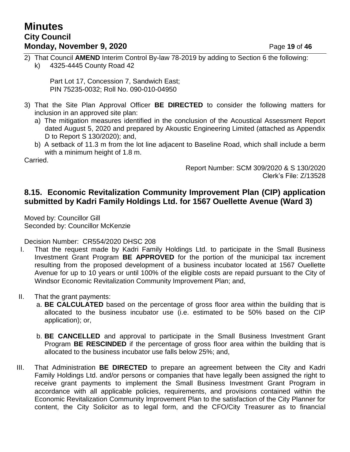## **Minutes City Council Monday, November 9, 2020** Page 19 of 46

2) That Council **AMEND** Interim Control By-law 78-2019 by adding to Section 6 the following: k) 4325-4445 County Road 42

Part Lot 17, Concession 7, Sandwich East; PIN 75235-0032; Roll No. 090-010-04950

- 3) That the Site Plan Approval Officer **BE DIRECTED** to consider the following matters for inclusion in an approved site plan:
	- a) The mitigation measures identified in the conclusion of the Acoustical Assessment Report dated August 5, 2020 and prepared by Akoustic Engineering Limited (attached as Appendix D to Report S 130/2020); and,
	- b) A setback of 11.3 m from the lot line adjacent to Baseline Road, which shall include a berm with a minimum height of 1.8 m.

Carried.

Report Number: SCM 309/2020 & S 130/2020 Clerk's File: Z/13528

### **8.15. Economic Revitalization Community Improvement Plan (CIP) application submitted by Kadri Family Holdings Ltd. for 1567 Ouellette Avenue (Ward 3)**

Moved by: Councillor Gill Seconded by: Councillor McKenzie

Decision Number: CR554/2020 DHSC 208

- I. That the request made by Kadri Family Holdings Ltd. to participate in the Small Business Investment Grant Program **BE APPROVED** for the portion of the municipal tax increment resulting from the proposed development of a business incubator located at 1567 Ouellette Avenue for up to 10 years or until 100% of the eligible costs are repaid pursuant to the City of Windsor Economic Revitalization Community Improvement Plan; and,
- II. That the grant payments:
	- a. **BE CALCULATED** based on the percentage of gross floor area within the building that is allocated to the business incubator use (i.e. estimated to be 50% based on the CIP application); or,
	- b. **BE CANCELLED** and approval to participate in the Small Business Investment Grant Program **BE RESCINDED** if the percentage of gross floor area within the building that is allocated to the business incubator use falls below 25%; and,
- III. That Administration **BE DIRECTED** to prepare an agreement between the City and Kadri Family Holdings Ltd. and/or persons or companies that have legally been assigned the right to receive grant payments to implement the Small Business Investment Grant Program in accordance with all applicable policies, requirements, and provisions contained within the Economic Revitalization Community Improvement Plan to the satisfaction of the City Planner for content, the City Solicitor as to legal form, and the CFO/City Treasurer as to financial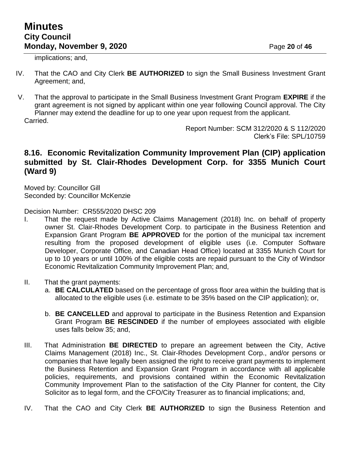implications; and,

- IV. That the CAO and City Clerk **BE AUTHORIZED** to sign the Small Business Investment Grant Agreement; and,
- V. That the approval to participate in the Small Business Investment Grant Program **EXPIRE** if the grant agreement is not signed by applicant within one year following Council approval. The City Planner may extend the deadline for up to one year upon request from the applicant.

Carried.

Report Number: SCM 312/2020 & S 112/2020 Clerk's File: SPL/10759

### **8.16. Economic Revitalization Community Improvement Plan (CIP) application submitted by St. Clair-Rhodes Development Corp. for 3355 Munich Court (Ward 9)**

Moved by: Councillor Gill Seconded by: Councillor McKenzie

Decision Number: CR555/2020 DHSC 209

- I. That the request made by Active Claims Management (2018) Inc. on behalf of property owner St. Clair-Rhodes Development Corp. to participate in the Business Retention and Expansion Grant Program **BE APPROVED** for the portion of the municipal tax increment resulting from the proposed development of eligible uses (i.e. Computer Software Developer, Corporate Office, and Canadian Head Office) located at 3355 Munich Court for up to 10 years or until 100% of the eligible costs are repaid pursuant to the City of Windsor Economic Revitalization Community Improvement Plan; and,
- II. That the grant payments:
	- a. **BE CALCULATED** based on the percentage of gross floor area within the building that is allocated to the eligible uses (i.e. estimate to be 35% based on the CIP application); or,
	- b. **BE CANCELLED** and approval to participate in the Business Retention and Expansion Grant Program **BE RESCINDED** if the number of employees associated with eligible uses falls below 35; and,
- III. That Administration **BE DIRECTED** to prepare an agreement between the City, Active Claims Management (2018) Inc., St. Clair-Rhodes Development Corp., and/or persons or companies that have legally been assigned the right to receive grant payments to implement the Business Retention and Expansion Grant Program in accordance with all applicable policies, requirements, and provisions contained within the Economic Revitalization Community Improvement Plan to the satisfaction of the City Planner for content, the City Solicitor as to legal form, and the CFO/City Treasurer as to financial implications; and,
- IV. That the CAO and City Clerk **BE AUTHORIZED** to sign the Business Retention and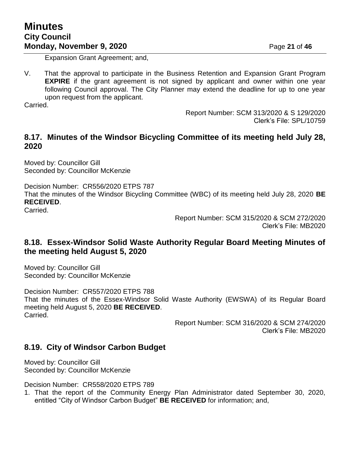Expansion Grant Agreement; and,

V. That the approval to participate in the Business Retention and Expansion Grant Program **EXPIRE** if the grant agreement is not signed by applicant and owner within one year following Council approval. The City Planner may extend the deadline for up to one year upon request from the applicant.

Carried.

Report Number: SCM 313/2020 & S 129/2020 Clerk's File: SPL/10759

## **8.17. Minutes of the Windsor Bicycling Committee of its meeting held July 28, 2020**

Moved by: Councillor Gill Seconded by: Councillor McKenzie

Decision Number: CR556/2020 ETPS 787 That the minutes of the Windsor Bicycling Committee (WBC) of its meeting held July 28, 2020 **BE RECEIVED**.

Carried.

Report Number: SCM 315/2020 & SCM 272/2020 Clerk's File: MB2020

## **8.18. Essex-Windsor Solid Waste Authority Regular Board Meeting Minutes of the meeting held August 5, 2020**

Moved by: Councillor Gill Seconded by: Councillor McKenzie

Decision Number: CR557/2020 ETPS 788 That the minutes of the Essex-Windsor Solid Waste Authority (EWSWA) of its Regular Board meeting held August 5, 2020 **BE RECEIVED**. Carried.

> Report Number: SCM 316/2020 & SCM 274/2020 Clerk's File: MB2020

### **8.19. City of Windsor Carbon Budget**

Moved by: Councillor Gill Seconded by: Councillor McKenzie

Decision Number: CR558/2020 ETPS 789

1. That the report of the Community Energy Plan Administrator dated September 30, 2020, entitled "City of Windsor Carbon Budget" **BE RECEIVED** for information; and,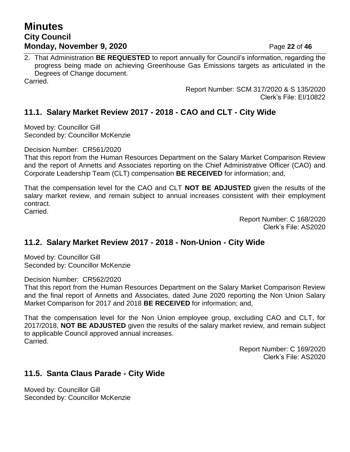## **Minutes City Council Monday, November 9, 2020** Page 22 of 46

2. That Administration **BE REQUESTED** to report annually for Council's information, regarding the progress being made on achieving Greenhouse Gas Emissions targets as articulated in the Degrees of Change document.

Carried.

Report Number: SCM 317/2020 & S 135/2020 Clerk's File: EI/10822

## **11.1. Salary Market Review 2017 - 2018 - CAO and CLT - City Wide**

Moved by: Councillor Gill Seconded by: Councillor McKenzie

Decision Number: CR561/2020

That this report from the Human Resources Department on the Salary Market Comparison Review and the report of Annetts and Associates reporting on the Chief Administrative Officer (CAO) and Corporate Leadership Team (CLT) compensation **BE RECEIVED** for information; and,

That the compensation level for the CAO and CLT **NOT BE ADJUSTED** given the results of the salary market review, and remain subject to annual increases consistent with their employment contract.

Carried.

Report Number: C 168/2020 Clerk's File: AS2020

## **11.2. Salary Market Review 2017 - 2018 - Non-Union - City Wide**

Moved by: Councillor Gill Seconded by: Councillor McKenzie

Decision Number: CR562/2020

That this report from the Human Resources Department on the Salary Market Comparison Review and the final report of Annetts and Associates, dated June 2020 reporting the Non Union Salary Market Comparison for 2017 and 2018 **BE RECEIVED** for information; and,

That the compensation level for the Non Union employee group, excluding CAO and CLT, for 2017/2018, **NOT BE ADJUSTED** given the results of the salary market review, and remain subject to applicable Council approved annual increases. Carried.

> Report Number: C 169/2020 Clerk's File: AS2020

### **11.5. Santa Claus Parade - City Wide**

Moved by: Councillor Gill Seconded by: Councillor McKenzie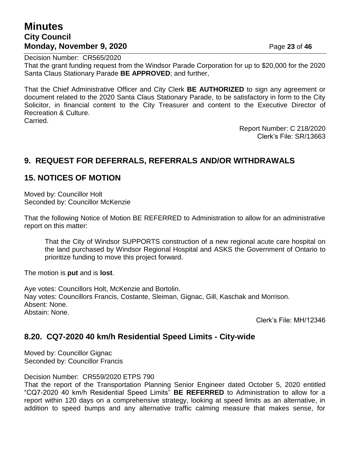## **Minutes City Council Monday, November 9, 2020** Page 23 of 46

Decision Number: CR565/2020

That the grant funding request from the Windsor Parade Corporation for up to \$20,000 for the 2020 Santa Claus Stationary Parade **BE APPROVED**; and further,

That the Chief Administrative Officer and City Clerk **BE AUTHORIZED** to sign any agreement or document related to the 2020 Santa Claus Stationary Parade, to be satisfactory in form to the City Solicitor, in financial content to the City Treasurer and content to the Executive Director of Recreation & Culture.

Carried.

Report Number: C 218/2020 Clerk's File: SR/13663

## **9. REQUEST FOR DEFERRALS, REFERRALS AND/OR WITHDRAWALS**

## **15. NOTICES OF MOTION**

Moved by: Councillor Holt Seconded by: Councillor McKenzie

That the following Notice of Motion BE REFERRED to Administration to allow for an administrative report on this matter:

That the City of Windsor SUPPORTS construction of a new regional acute care hospital on the land purchased by Windsor Regional Hospital and ASKS the Government of Ontario to prioritize funding to move this project forward.

The motion is **put** and is **lost**.

Aye votes: Councillors Holt, McKenzie and Bortolin. Nay votes: Councillors Francis, Costante, Sleiman, Gignac, Gill, Kaschak and Morrison. Absent: None. Abstain: None.

Clerk's File: MH/12346

### **8.20. CQ7-2020 40 km/h Residential Speed Limits - City-wide**

Moved by: Councillor Gignac Seconded by: Councillor Francis

Decision Number: CR559/2020 ETPS 790

That the report of the Transportation Planning Senior Engineer dated October 5, 2020 entitled "CQ7-2020 40 km/h Residential Speed Limits" **BE REFERRED** to Administration to allow for a report within 120 days on a comprehensive strategy, looking at speed limits as an alternative, in addition to speed bumps and any alternative traffic calming measure that makes sense, for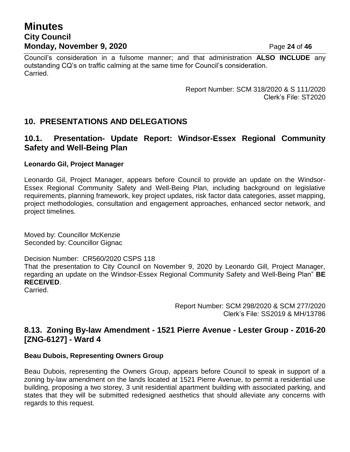## **Minutes City Council Monday, November 9, 2020** Page 24 of 46

Council's consideration in a fulsome manner; and that administration **ALSO INCLUDE** any outstanding CQ's on traffic calming at the same time for Council's consideration. Carried.

> Report Number: SCM 318/2020 & S 111/2020 Clerk's File: ST2020

### **10. PRESENTATIONS AND DELEGATIONS**

### **10.1. Presentation- Update Report: Windsor-Essex Regional Community Safety and Well-Being Plan**

### **Leonardo Gil, Project Manager**

Leonardo Gil, Project Manager, appears before Council to provide an update on the Windsor-Essex Regional Community Safety and Well-Being Plan, including background on legislative requirements, planning framework, key project updates, risk factor data categories, asset mapping, project methodologies, consultation and engagement approaches, enhanced sector network, and project timelines.

Moved by: Councillor McKenzie Seconded by: Councillor Gignac

Decision Number: CR560/2020 CSPS 118

That the presentation to City Council on November 9, 2020 by Leonardo Gill, Project Manager, regarding an update on the Windsor-Essex Regional Community Safety and Well-Being Plan" **BE RECEIVED**.

Carried.

Report Number: SCM 298/2020 & SCM 277/2020 Clerk's File: SS2019 & MH/13786

### **8.13. Zoning By-law Amendment - 1521 Pierre Avenue - Lester Group - Z016-20 [ZNG-6127] - Ward 4**

### **Beau Dubois, Representing Owners Group**

Beau Dubois, representing the Owners Group, appears before Council to speak in support of a zoning by-law amendment on the lands located at 1521 Pierre Avenue, to permit a residential use building, proposing a two storey, 3 unit residential apartment building with associated parking, and states that they will be submitted redesigned aesthetics that should alleviate any concerns with regards to this request.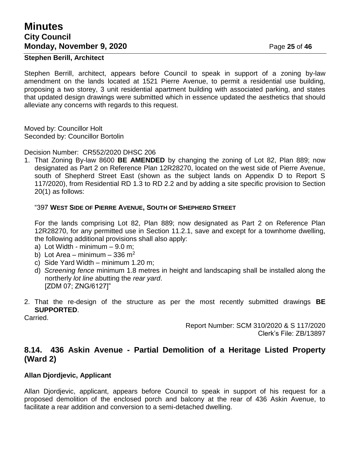## **Minutes City Council Monday, November 9, 2020 Page 25 of 46**

### **Stephen Berill, Architect**

Stephen Berrill, architect, appears before Council to speak in support of a zoning by-law amendment on the lands located at 1521 Pierre Avenue, to permit a residential use building, proposing a two storey, 3 unit residential apartment building with associated parking, and states that updated design drawings were submitted which in essence updated the aesthetics that should alleviate any concerns with regards to this request.

Moved by: Councillor Holt Seconded by: Councillor Bortolin

Decision Number: CR552/2020 DHSC 206

1. That Zoning By-law 8600 **BE AMENDED** by changing the zoning of Lot 82, Plan 889; now designated as Part 2 on Reference Plan 12R28270, located on the west side of Pierre Avenue, south of Shepherd Street East (shown as the subject lands on Appendix D to Report S 117/2020), from Residential RD 1.3 to RD 2.2 and by adding a site specific provision to Section 20(1) as follows:

### "397 **WEST SIDE OF PIERRE AVENUE, SOUTH OF SHEPHERD STREET**

For the lands comprising Lot 82, Plan 889; now designated as Part 2 on Reference Plan 12R28270, for any permitted use in Section 11.2.1, save and except for a townhome dwelling, the following additional provisions shall also apply:

- a) Lot Width minimum  $-9.0$  m;
- b) Lot Area minimum 336 m<sup>2</sup>
- c) Side Yard Width minimum 1.20 m;
- d) *Screening fence* minimum 1.8 metres in height and landscaping shall be installed along the northerly *lot line* abutting the *rear yard*. [ZDM 07; ZNG/6127]"
- 2. That the re-design of the structure as per the most recently submitted drawings **BE SUPPORTED**.

Carried.

Report Number: SCM 310/2020 & S 117/2020 Clerk's File: ZB/13897

### **8.14. 436 Askin Avenue - Partial Demolition of a Heritage Listed Property (Ward 2)**

### **Allan Djordjevic, Applicant**

Allan Djordjevic, applicant, appears before Council to speak in support of his request for a proposed demolition of the enclosed porch and balcony at the rear of 436 Askin Avenue, to facilitate a rear addition and conversion to a semi-detached dwelling.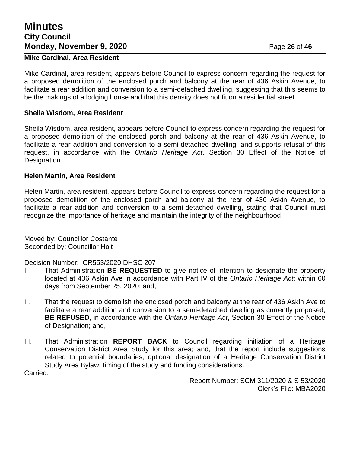## **Minutes City Council Monday, November 9, 2020** Page 26 of 46

### **Mike Cardinal, Area Resident**

Mike Cardinal, area resident, appears before Council to express concern regarding the request for a proposed demolition of the enclosed porch and balcony at the rear of 436 Askin Avenue, to facilitate a rear addition and conversion to a semi-detached dwelling, suggesting that this seems to be the makings of a lodging house and that this density does not fit on a residential street.

### **Sheila Wisdom, Area Resident**

Sheila Wisdom, area resident, appears before Council to express concern regarding the request for a proposed demolition of the enclosed porch and balcony at the rear of 436 Askin Avenue, to facilitate a rear addition and conversion to a semi-detached dwelling, and supports refusal of this request, in accordance with the *Ontario Heritage Act*, Section 30 Effect of the Notice of Designation.

### **Helen Martin, Area Resident**

Helen Martin, area resident, appears before Council to express concern regarding the request for a proposed demolition of the enclosed porch and balcony at the rear of 436 Askin Avenue, to facilitate a rear addition and conversion to a semi-detached dwelling, stating that Council must recognize the importance of heritage and maintain the integrity of the neighbourhood.

Moved by: Councillor Costante Seconded by: Councillor Holt

Decision Number: CR553/2020 DHSC 207

- I. That Administration **BE REQUESTED** to give notice of intention to designate the property located at 436 Askin Ave in accordance with Part IV of the *Ontario Heritage Act*; within 60 days from September 25, 2020; and,
- II. That the request to demolish the enclosed porch and balcony at the rear of 436 Askin Ave to facilitate a rear addition and conversion to a semi-detached dwelling as currently proposed, **BE REFUSED**, in accordance with the *Ontario Heritage Act*, Section 30 Effect of the Notice of Designation; and,
- III. That Administration **REPORT BACK** to Council regarding initiation of a Heritage Conservation District Area Study for this area; and, that the report include suggestions related to potential boundaries, optional designation of a Heritage Conservation District Study Area Bylaw, timing of the study and funding considerations.

Carried.

Report Number: SCM 311/2020 & S 53/2020 Clerk's File: MBA2020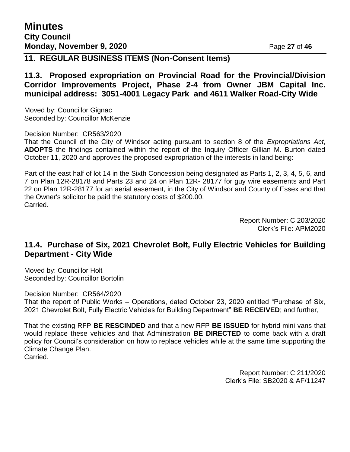### **11. REGULAR BUSINESS ITEMS (Non-Consent Items)**

### **11.3. Proposed expropriation on Provincial Road for the Provincial/Division Corridor Improvements Project, Phase 2-4 from Owner JBM Capital Inc. municipal address: 3051-4001 Legacy Park and 4611 Walker Road-City Wide**

Moved by: Councillor Gignac Seconded by: Councillor McKenzie

Decision Number: CR563/2020

That the Council of the City of Windsor acting pursuant to section 8 of the *Expropriations Act*, **ADOPTS** the findings contained within the report of the Inquiry Officer Gillian M. Burton dated October 11, 2020 and approves the proposed expropriation of the interests in land being:

Part of the east half of lot 14 in the Sixth Concession being designated as Parts 1, 2, 3, 4, 5, 6, and 7 on Plan 12R-28178 and Parts 23 and 24 on Plan 12R- 28177 for guy wire easements and Part 22 on Plan 12R-28177 for an aerial easement, in the City of Windsor and County of Essex and that the Owner's solicitor be paid the statutory costs of \$200.00. Carried.

> Report Number: C 203/2020 Clerk's File: APM2020

### **11.4. Purchase of Six, 2021 Chevrolet Bolt, Fully Electric Vehicles for Building Department - City Wide**

Moved by: Councillor Holt Seconded by: Councillor Bortolin

Decision Number: CR564/2020 That the report of Public Works – Operations, dated October 23, 2020 entitled "Purchase of Six, 2021 Chevrolet Bolt, Fully Electric Vehicles for Building Department" **BE RECEIVED**; and further,

That the existing RFP **BE RESCINDED** and that a new RFP **BE ISSUED** for hybrid mini-vans that would replace these vehicles and that Administration **BE DIRECTED** to come back with a draft policy for Council's consideration on how to replace vehicles while at the same time supporting the Climate Change Plan. Carried.

> Report Number: C 211/2020 Clerk's File: SB2020 & AF/11247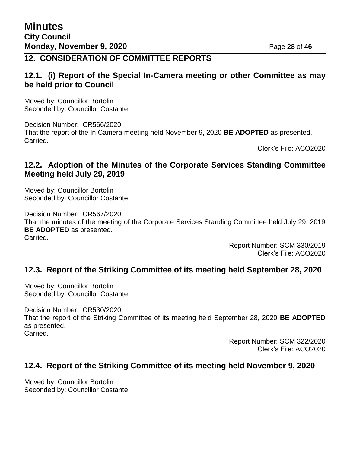## **12. CONSIDERATION OF COMMITTEE REPORTS**

### **12.1. (i) Report of the Special In-Camera meeting or other Committee as may be held prior to Council**

Moved by: Councillor Bortolin Seconded by: Councillor Costante

Decision Number: CR566/2020 That the report of the In Camera meeting held November 9, 2020 **BE ADOPTED** as presented. Carried.

Clerk's File: ACO2020

## **12.2. Adoption of the Minutes of the Corporate Services Standing Committee Meeting held July 29, 2019**

Moved by: Councillor Bortolin Seconded by: Councillor Costante

Decision Number: CR567/2020 That the minutes of the meeting of the Corporate Services Standing Committee held July 29, 2019 **BE ADOPTED** as presented. Carried.

> Report Number: SCM 330/2019 Clerk's File: ACO2020

### **12.3. Report of the Striking Committee of its meeting held September 28, 2020**

Moved by: Councillor Bortolin Seconded by: Councillor Costante

Decision Number: CR530/2020 That the report of the Striking Committee of its meeting held September 28, 2020 **BE ADOPTED**  as presented. Carried.

> Report Number: SCM 322/2020 Clerk's File: ACO2020

### **12.4. Report of the Striking Committee of its meeting held November 9, 2020**

Moved by: Councillor Bortolin Seconded by: Councillor Costante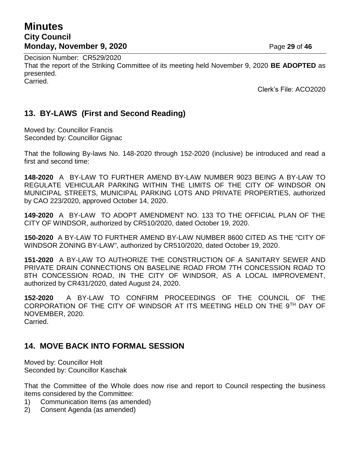## **Minutes City Council Monday, November 9, 2020** Page 29 of 46

Decision Number: CR529/2020 That the report of the Striking Committee of its meeting held November 9, 2020 **BE ADOPTED** as presented. Carried.

Clerk's File: ACO2020

## **13. BY-LAWS (First and Second Reading)**

Moved by: Councillor Francis Seconded by: Councillor Gignac

That the following By-laws No. 148-2020 through 152-2020 (inclusive) be introduced and read a first and second time:

**148-2020** A BY-LAW TO FURTHER AMEND BY-LAW NUMBER 9023 BEING A BY-LAW TO REGULATE VEHICULAR PARKING WITHIN THE LIMITS OF THE CITY OF WINDSOR ON MUNICIPAL STREETS, MUNICIPAL PARKING LOTS AND PRIVATE PROPERTIES, authorized by CAO 223/2020, approved October 14, 2020.

**149-2020** A BY-LAW TO ADOPT AMENDMENT NO. 133 TO THE OFFICIAL PLAN OF THE CITY OF WINDSOR, authorized by CR510/2020, dated October 19, 2020.

**150-2020** A BY-LAW TO FURTHER AMEND BY-LAW NUMBER 8600 CITED AS THE "CITY OF WINDSOR ZONING BY-LAW", authorized by CR510/2020, dated October 19, 2020.

**151-2020** A BY-LAW TO AUTHORIZE THE CONSTRUCTION OF A SANITARY SEWER AND PRIVATE DRAIN CONNECTIONS ON BASELINE ROAD FROM 7TH CONCESSION ROAD TO 8TH CONCESSION ROAD, IN THE CITY OF WINDSOR, AS A LOCAL IMPROVEMENT, authorized by CR431/2020, dated August 24, 2020.

**152-2020** A BY-LAW TO CONFIRM PROCEEDINGS OF THE COUNCIL OF THE CORPORATION OF THE CITY OF WINDSOR AT ITS MEETING HELD ON THE 9TH DAY OF NOVEMBER, 2020. Carried.

## **14. MOVE BACK INTO FORMAL SESSION**

Moved by: Councillor Holt Seconded by: Councillor Kaschak

That the Committee of the Whole does now rise and report to Council respecting the business items considered by the Committee:

- 1) Communication Items (as amended)
- 2) Consent Agenda (as amended)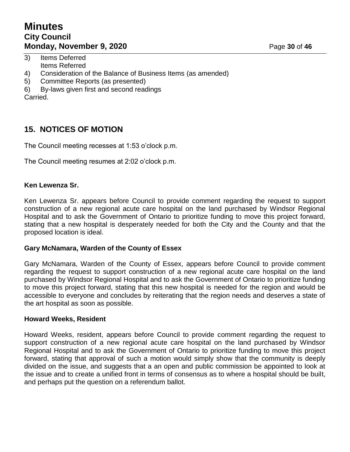## **Minutes City Council Monday, November 9, 2020 Page 30** of 46

- 3) Items Deferred Items Referred
- 4) Consideration of the Balance of Business Items (as amended)
- 5) Committee Reports (as presented)
- 6) By-laws given first and second readings

Carried.

## **15. NOTICES OF MOTION**

The Council meeting recesses at 1:53 o'clock p.m.

The Council meeting resumes at 2:02 o'clock p.m.

### **Ken Lewenza Sr.**

Ken Lewenza Sr. appears before Council to provide comment regarding the request to support construction of a new regional acute care hospital on the land purchased by Windsor Regional Hospital and to ask the Government of Ontario to prioritize funding to move this project forward, stating that a new hospital is desperately needed for both the City and the County and that the proposed location is ideal.

### **Gary McNamara, Warden of the County of Essex**

Gary McNamara, Warden of the County of Essex, appears before Council to provide comment regarding the request to support construction of a new regional acute care hospital on the land purchased by Windsor Regional Hospital and to ask the Government of Ontario to prioritize funding to move this project forward, stating that this new hospital is needed for the region and would be accessible to everyone and concludes by reiterating that the region needs and deserves a state of the art hospital as soon as possible.

### **Howard Weeks, Resident**

Howard Weeks, resident, appears before Council to provide comment regarding the request to support construction of a new regional acute care hospital on the land purchased by Windsor Regional Hospital and to ask the Government of Ontario to prioritize funding to move this project forward, stating that approval of such a motion would simply show that the community is deeply divided on the issue, and suggests that a an open and public commission be appointed to look at the issue and to create a unified front in terms of consensus as to where a hospital should be built, and perhaps put the question on a referendum ballot.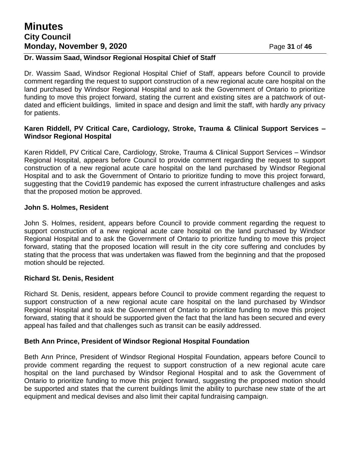## **Minutes City Council Monday, November 9, 2020 Page 31 of 46**

### **Dr. Wassim Saad, Windsor Regional Hospital Chief of Staff**

Dr. Wassim Saad, Windsor Regional Hospital Chief of Staff, appears before Council to provide comment regarding the request to support construction of a new regional acute care hospital on the land purchased by Windsor Regional Hospital and to ask the Government of Ontario to prioritize funding to move this project forward, stating the current and existing sites are a patchwork of outdated and efficient buildings, limited in space and design and limit the staff, with hardly any privacy for patients.

### **Karen Riddell, PV Critical Care, Cardiology, Stroke, Trauma & Clinical Support Services – Windsor Regional Hospital**

Karen Riddell, PV Critical Care, Cardiology, Stroke, Trauma & Clinical Support Services – Windsor Regional Hospital, appears before Council to provide comment regarding the request to support construction of a new regional acute care hospital on the land purchased by Windsor Regional Hospital and to ask the Government of Ontario to prioritize funding to move this project forward, suggesting that the Covid19 pandemic has exposed the current infrastructure challenges and asks that the proposed motion be approved.

### **John S. Holmes, Resident**

John S. Holmes, resident, appears before Council to provide comment regarding the request to support construction of a new regional acute care hospital on the land purchased by Windsor Regional Hospital and to ask the Government of Ontario to prioritize funding to move this project forward, stating that the proposed location will result in the city core suffering and concludes by stating that the process that was undertaken was flawed from the beginning and that the proposed motion should be rejected.

### **Richard St. Denis, Resident**

Richard St. Denis, resident, appears before Council to provide comment regarding the request to support construction of a new regional acute care hospital on the land purchased by Windsor Regional Hospital and to ask the Government of Ontario to prioritize funding to move this project forward, stating that it should be supported given the fact that the land has been secured and every appeal has failed and that challenges such as transit can be easily addressed.

### **Beth Ann Prince, President of Windsor Regional Hospital Foundation**

Beth Ann Prince, President of Windsor Regional Hospital Foundation, appears before Council to provide comment regarding the request to support construction of a new regional acute care hospital on the land purchased by Windsor Regional Hospital and to ask the Government of Ontario to prioritize funding to move this project forward, suggesting the proposed motion should be supported and states that the current buildings limit the ability to purchase new state of the art equipment and medical devises and also limit their capital fundraising campaign.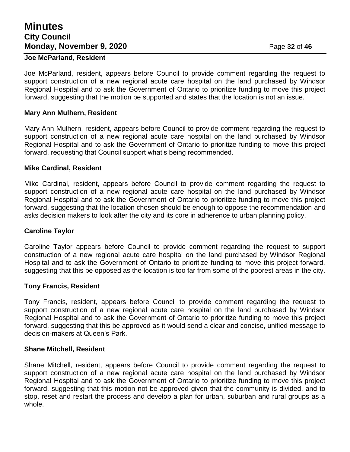## **Minutes City Council Monday, November 9, 2020** Page 32 of 46

#### **Joe McParland, Resident**

Joe McParland, resident, appears before Council to provide comment regarding the request to support construction of a new regional acute care hospital on the land purchased by Windsor Regional Hospital and to ask the Government of Ontario to prioritize funding to move this project forward, suggesting that the motion be supported and states that the location is not an issue.

### **Mary Ann Mulhern, Resident**

Mary Ann Mulhern, resident, appears before Council to provide comment regarding the request to support construction of a new regional acute care hospital on the land purchased by Windsor Regional Hospital and to ask the Government of Ontario to prioritize funding to move this project forward, requesting that Council support what's being recommended.

#### **Mike Cardinal, Resident**

Mike Cardinal, resident, appears before Council to provide comment regarding the request to support construction of a new regional acute care hospital on the land purchased by Windsor Regional Hospital and to ask the Government of Ontario to prioritize funding to move this project forward, suggesting that the location chosen should be enough to oppose the recommendation and asks decision makers to look after the city and its core in adherence to urban planning policy.

### **Caroline Taylor**

Caroline Taylor appears before Council to provide comment regarding the request to support construction of a new regional acute care hospital on the land purchased by Windsor Regional Hospital and to ask the Government of Ontario to prioritize funding to move this project forward, suggesting that this be opposed as the location is too far from some of the poorest areas in the city.

#### **Tony Francis, Resident**

Tony Francis, resident, appears before Council to provide comment regarding the request to support construction of a new regional acute care hospital on the land purchased by Windsor Regional Hospital and to ask the Government of Ontario to prioritize funding to move this project forward, suggesting that this be approved as it would send a clear and concise, unified message to decision-makers at Queen's Park.

#### **Shane Mitchell, Resident**

Shane Mitchell, resident, appears before Council to provide comment regarding the request to support construction of a new regional acute care hospital on the land purchased by Windsor Regional Hospital and to ask the Government of Ontario to prioritize funding to move this project forward, suggesting that this motion not be approved given that the community is divided, and to stop, reset and restart the process and develop a plan for urban, suburban and rural groups as a whole.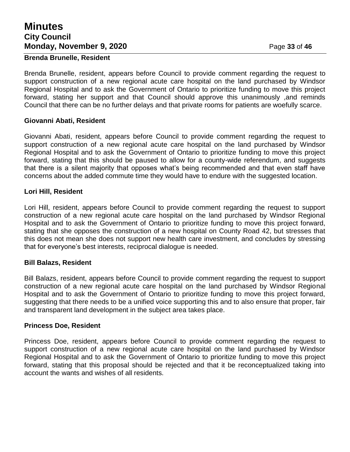## **Minutes City Council Monday, November 9, 2020** Page 33 of 46

#### **Brenda Brunelle, Resident**

Brenda Brunelle, resident, appears before Council to provide comment regarding the request to support construction of a new regional acute care hospital on the land purchased by Windsor Regional Hospital and to ask the Government of Ontario to prioritize funding to move this project forward, stating her support and that Council should approve this unanimously ,and reminds Council that there can be no further delays and that private rooms for patients are woefully scarce.

### **Giovanni Abati, Resident**

Giovanni Abati, resident, appears before Council to provide comment regarding the request to support construction of a new regional acute care hospital on the land purchased by Windsor Regional Hospital and to ask the Government of Ontario to prioritize funding to move this project forward, stating that this should be paused to allow for a county-wide referendum, and suggests that there is a silent majority that opposes what's being recommended and that even staff have concerns about the added commute time they would have to endure with the suggested location.

### **Lori Hill, Resident**

Lori Hill, resident, appears before Council to provide comment regarding the request to support construction of a new regional acute care hospital on the land purchased by Windsor Regional Hospital and to ask the Government of Ontario to prioritize funding to move this project forward, stating that she opposes the construction of a new hospital on County Road 42, but stresses that this does not mean she does not support new health care investment, and concludes by stressing that for everyone's best interests, reciprocal dialogue is needed.

### **Bill Balazs, Resident**

Bill Balazs, resident, appears before Council to provide comment regarding the request to support construction of a new regional acute care hospital on the land purchased by Windsor Regional Hospital and to ask the Government of Ontario to prioritize funding to move this project forward, suggesting that there needs to be a unified voice supporting this and to also ensure that proper, fair and transparent land development in the subject area takes place.

### **Princess Doe, Resident**

Princess Doe, resident, appears before Council to provide comment regarding the request to support construction of a new regional acute care hospital on the land purchased by Windsor Regional Hospital and to ask the Government of Ontario to prioritize funding to move this project forward, stating that this proposal should be rejected and that it be reconceptualized taking into account the wants and wishes of all residents.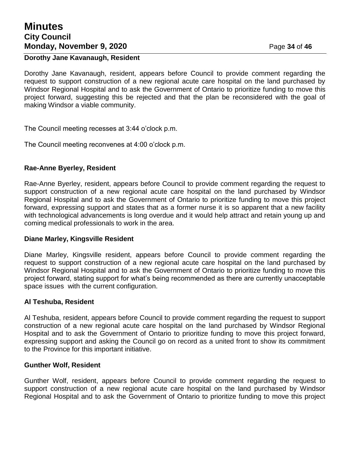## **Minutes City Council Monday, November 9, 2020 Page 34 of 46**

### **Dorothy Jane Kavanaugh, Resident**

Dorothy Jane Kavanaugh, resident, appears before Council to provide comment regarding the request to support construction of a new regional acute care hospital on the land purchased by Windsor Regional Hospital and to ask the Government of Ontario to prioritize funding to move this project forward, suggesting this be rejected and that the plan be reconsidered with the goal of making Windsor a viable community.

The Council meeting recesses at 3:44 o'clock p.m.

The Council meeting reconvenes at 4:00 o'clock p.m.

### **Rae-Anne Byerley, Resident**

Rae-Anne Byerley, resident, appears before Council to provide comment regarding the request to support construction of a new regional acute care hospital on the land purchased by Windsor Regional Hospital and to ask the Government of Ontario to prioritize funding to move this project forward, expressing support and states that as a former nurse it is so apparent that a new facility with technological advancements is long overdue and it would help attract and retain young up and coming medical professionals to work in the area.

#### **Diane Marley, Kingsville Resident**

Diane Marley, Kingsville resident, appears before Council to provide comment regarding the request to support construction of a new regional acute care hospital on the land purchased by Windsor Regional Hospital and to ask the Government of Ontario to prioritize funding to move this project forward, stating support for what's being recommended as there are currently unacceptable space issues with the current configuration.

### **Al Teshuba, Resident**

Al Teshuba, resident, appears before Council to provide comment regarding the request to support construction of a new regional acute care hospital on the land purchased by Windsor Regional Hospital and to ask the Government of Ontario to prioritize funding to move this project forward, expressing support and asking the Council go on record as a united front to show its commitment to the Province for this important initiative.

#### **Gunther Wolf, Resident**

Gunther Wolf, resident, appears before Council to provide comment regarding the request to support construction of a new regional acute care hospital on the land purchased by Windsor Regional Hospital and to ask the Government of Ontario to prioritize funding to move this project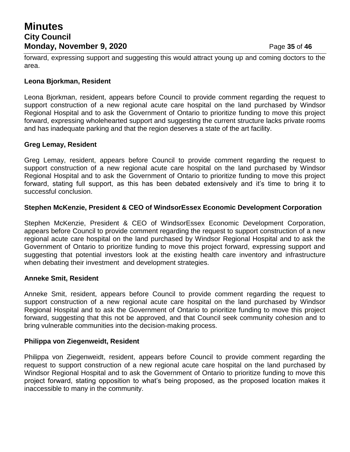## **Minutes City Council Monday, November 9, 2020 Page 35** of 46

forward, expressing support and suggesting this would attract young up and coming doctors to the area.

### **Leona Bjorkman, Resident**

Leona Bjorkman, resident, appears before Council to provide comment regarding the request to support construction of a new regional acute care hospital on the land purchased by Windsor Regional Hospital and to ask the Government of Ontario to prioritize funding to move this project forward, expressing wholehearted support and suggesting the current structure lacks private rooms and has inadequate parking and that the region deserves a state of the art facility.

### **Greg Lemay, Resident**

Greg Lemay, resident, appears before Council to provide comment regarding the request to support construction of a new regional acute care hospital on the land purchased by Windsor Regional Hospital and to ask the Government of Ontario to prioritize funding to move this project forward, stating full support, as this has been debated extensively and it's time to bring it to successful conclusion.

### **Stephen McKenzie, President & CEO of WindsorEssex Economic Development Corporation**

Stephen McKenzie, President & CEO of WindsorEssex Economic Development Corporation, appears before Council to provide comment regarding the request to support construction of a new regional acute care hospital on the land purchased by Windsor Regional Hospital and to ask the Government of Ontario to prioritize funding to move this project forward, expressing support and suggesting that potential investors look at the existing health care inventory and infrastructure when debating their investment and development strategies.

### **Anneke Smit, Resident**

Anneke Smit, resident, appears before Council to provide comment regarding the request to support construction of a new regional acute care hospital on the land purchased by Windsor Regional Hospital and to ask the Government of Ontario to prioritize funding to move this project forward, suggesting that this not be approved, and that Council seek community cohesion and to bring vulnerable communities into the decision-making process.

### **Philippa von Ziegenweidt, Resident**

Philippa von Ziegenweidt, resident, appears before Council to provide comment regarding the request to support construction of a new regional acute care hospital on the land purchased by Windsor Regional Hospital and to ask the Government of Ontario to prioritize funding to move this project forward, stating opposition to what's being proposed, as the proposed location makes it inaccessible to many in the community.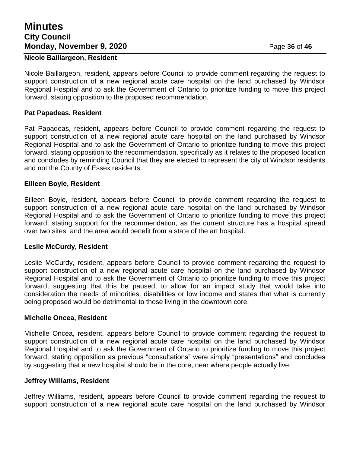## **Minutes City Council Monday, November 9, 2020 Page 36** of 46

#### **Nicole Baillargeon, Resident**

Nicole Baillargeon, resident, appears before Council to provide comment regarding the request to support construction of a new regional acute care hospital on the land purchased by Windsor Regional Hospital and to ask the Government of Ontario to prioritize funding to move this project forward, stating opposition to the proposed recommendation.

#### **Pat Papadeas, Resident**

Pat Papadeas, resident, appears before Council to provide comment regarding the request to support construction of a new regional acute care hospital on the land purchased by Windsor Regional Hospital and to ask the Government of Ontario to prioritize funding to move this project forward, stating opposition to the recommendation, specifically as it relates to the proposed location and concludes by reminding Council that they are elected to represent the city of Windsor residents and not the County of Essex residents.

#### **Eilleen Boyle, Resident**

Eilleen Boyle, resident, appears before Council to provide comment regarding the request to support construction of a new regional acute care hospital on the land purchased by Windsor Regional Hospital and to ask the Government of Ontario to prioritize funding to move this project forward, stating support for the recommendation, as the current structure has a hospital spread over two sites and the area would benefit from a state of the art hospital.

#### **Leslie McCurdy, Resident**

Leslie McCurdy, resident, appears before Council to provide comment regarding the request to support construction of a new regional acute care hospital on the land purchased by Windsor Regional Hospital and to ask the Government of Ontario to prioritize funding to move this project forward, suggesting that this be paused, to allow for an impact study that would take into consideration the needs of minorities, disabilities or low income and states that what is currently being proposed would be detrimental to those living in the downtown core.

#### **Michelle Oncea, Resident**

Michelle Oncea, resident, appears before Council to provide comment regarding the request to support construction of a new regional acute care hospital on the land purchased by Windsor Regional Hospital and to ask the Government of Ontario to prioritize funding to move this project forward, stating opposition as previous "consultations" were simply "presentations" and concludes by suggesting that a new hospital should be in the core, near where people actually live.

#### **Jeffrey Williams, Resident**

Jeffrey Williams, resident, appears before Council to provide comment regarding the request to support construction of a new regional acute care hospital on the land purchased by Windsor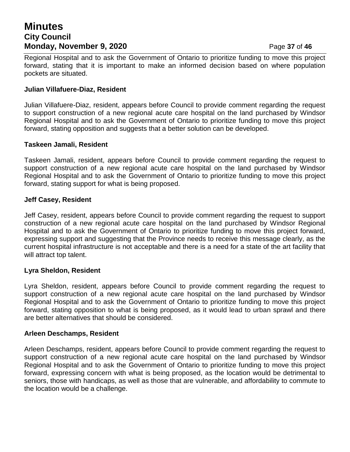## **Minutes City Council Monday, November 9, 2020 Page 37** of 46

Regional Hospital and to ask the Government of Ontario to prioritize funding to move this project forward, stating that it is important to make an informed decision based on where population pockets are situated.

#### **Julian Villafuere-Diaz, Resident**

Julian Villafuere-Diaz, resident, appears before Council to provide comment regarding the request to support construction of a new regional acute care hospital on the land purchased by Windsor Regional Hospital and to ask the Government of Ontario to prioritize funding to move this project forward, stating opposition and suggests that a better solution can be developed.

#### **Taskeen Jamali, Resident**

Taskeen Jamali, resident, appears before Council to provide comment regarding the request to support construction of a new regional acute care hospital on the land purchased by Windsor Regional Hospital and to ask the Government of Ontario to prioritize funding to move this project forward, stating support for what is being proposed.

#### **Jeff Casey, Resident**

Jeff Casey, resident, appears before Council to provide comment regarding the request to support construction of a new regional acute care hospital on the land purchased by Windsor Regional Hospital and to ask the Government of Ontario to prioritize funding to move this project forward, expressing support and suggesting that the Province needs to receive this message clearly, as the current hospital infrastructure is not acceptable and there is a need for a state of the art facility that will attract top talent.

#### **Lyra Sheldon, Resident**

Lyra Sheldon, resident, appears before Council to provide comment regarding the request to support construction of a new regional acute care hospital on the land purchased by Windsor Regional Hospital and to ask the Government of Ontario to prioritize funding to move this project forward, stating opposition to what is being proposed, as it would lead to urban sprawl and there are better alternatives that should be considered.

#### **Arleen Deschamps, Resident**

Arleen Deschamps, resident, appears before Council to provide comment regarding the request to support construction of a new regional acute care hospital on the land purchased by Windsor Regional Hospital and to ask the Government of Ontario to prioritize funding to move this project forward, expressing concern with what is being proposed, as the location would be detrimental to seniors, those with handicaps, as well as those that are vulnerable, and affordability to commute to the location would be a challenge.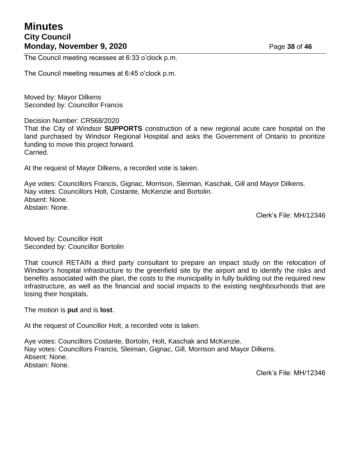## **Minutes City Council Monday, November 9, 2020** Page 38 of 46

The Council meeting recesses at 6:33 o'clock p.m.

The Council meeting resumes at 6:45 o'clock p.m.

Moved by: Mayor Dilkens Seconded by: Councillor Francis

Decision Number: CR568/2020

That the City of Windsor **SUPPORTS** construction of a new regional acute care hospital on the land purchased by Windsor Regional Hospital and asks the Government of Ontario to prioritize funding to move this project forward. Carried.

At the request of Mayor Dilkens, a recorded vote is taken.

Aye votes: Councillors Francis, Gignac, Morrison, Sleiman, Kaschak, Gill and Mayor Dilkens. Nay votes: Councillors Holt, Costante, McKenzie and Bortolin. Absent: None. Abstain: None.

Clerk's File: MH/12346

Moved by: Councillor Holt Seconded by: Councillor Bortolin

That council RETAIN a third party consultant to prepare an impact study on the relocation of Windsor's hospital infrastructure to the greenfield site by the airport and to identify the risks and benefits associated with the plan, the costs to the municipality in fully building out the required new infrastructure, as well as the financial and social impacts to the existing neighbourhoods that are losing their hospitals.

The motion is **put** and is **lost**.

At the request of Councillor Holt, a recorded vote is taken.

Aye votes: Councillors Costante, Bortolin, Holt, Kaschak and McKenzie. Nay votes: Councillors Francis, Sleiman, Gignac, Gill, Morrison and Mayor Dilkens. Absent: None. Abstain: None.

Clerk's File: MH/12346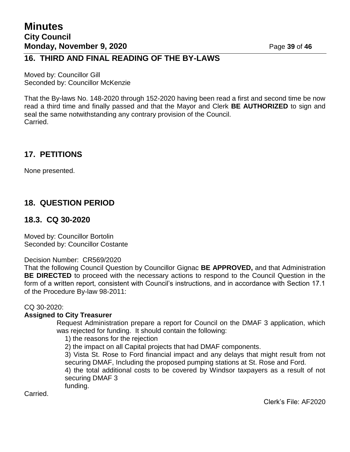### **16. THIRD AND FINAL READING OF THE BY-LAWS**

Moved by: Councillor Gill Seconded by: Councillor McKenzie

That the By-laws No. 148-2020 through 152-2020 having been read a first and second time be now read a third time and finally passed and that the Mayor and Clerk **BE AUTHORIZED** to sign and seal the same notwithstanding any contrary provision of the Council. Carried.

### **17. PETITIONS**

None presented.

## **18. QUESTION PERIOD**

### **18.3. CQ 30-2020**

Moved by: Councillor Bortolin Seconded by: Councillor Costante

Decision Number: CR569/2020

That the following Council Question by Councillor Gignac **BE APPROVED,** and that Administration **BE DIRECTED** to proceed with the necessary actions to respond to the Council Question in the form of a written report, consistent with Council's instructions, and in accordance with Section 17.1 of the Procedure By-law 98-2011:

### CQ 30-2020:

### **Assigned to City Treasurer**

Request Administration prepare a report for Council on the DMAF 3 application, which was rejected for funding. It should contain the following:

1) the reasons for the rejection

2) the impact on all Capital projects that had DMAF components.

3) Vista St. Rose to Ford financial impact and any delays that might result from not securing DMAF, Including the proposed pumping stations at St. Rose and Ford.

4) the total additional costs to be covered by Windsor taxpayers as a result of not securing DMAF 3

funding.

Carried.

Clerk's File: AF2020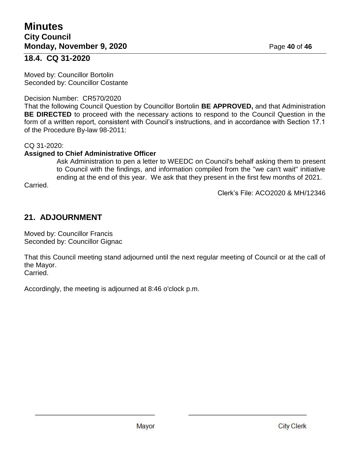### **18.4. CQ 31-2020**

Moved by: Councillor Bortolin Seconded by: Councillor Costante

### Decision Number: CR570/2020

That the following Council Question by Councillor Bortolin **BE APPROVED,** and that Administration **BE DIRECTED** to proceed with the necessary actions to respond to the Council Question in the form of a written report, consistent with Council's instructions, and in accordance with Section 17.1 of the Procedure By-law 98-2011:

#### CQ 31-2020:

### **Assigned to Chief Administrative Officer**

Ask Administration to pen a letter to WEEDC on Council's behalf asking them to present to Council with the findings, and information compiled from the "we can't wait" initiative ending at the end of this year. We ask that they present in the first few months of 2021.

Carried.

Clerk's File: ACO2020 & MH/12346

### **21. ADJOURNMENT**

Moved by: Councillor Francis Seconded by: Councillor Gignac

That this Council meeting stand adjourned until the next regular meeting of Council or at the call of the Mayor. Carried.

Accordingly, the meeting is adjourned at 8:46 o'clock p.m.

Mayor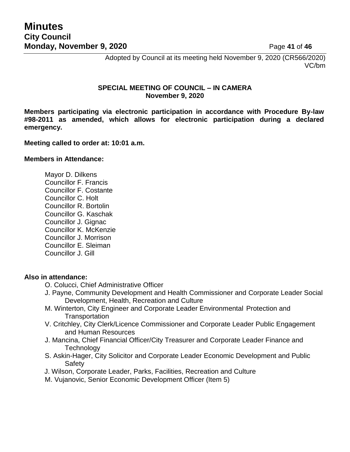Adopted by Council at its meeting held November 9, 2020 (CR566/2020) VC/bm

### **SPECIAL MEETING OF COUNCIL – IN CAMERA November 9, 2020**

**Members participating via electronic participation in accordance with Procedure By-law #98-2011 as amended, which allows for electronic participation during a declared emergency.**

**Meeting called to order at: 10:01 a.m.**

#### **Members in Attendance:**

Mayor D. Dilkens Councillor F. Francis Councillor F. Costante Councillor C. Holt Councillor R. Bortolin Councillor G. Kaschak Councillor J. Gignac Councillor K. McKenzie Councillor J. Morrison Councillor E. Sleiman Councillor J. Gill

### **Also in attendance:**

- O. Colucci, Chief Administrative Officer
- J. Payne, Community Development and Health Commissioner and Corporate Leader Social Development, Health, Recreation and Culture
- M. Winterton, City Engineer and Corporate Leader Environmental Protection and **Transportation**
- V. Critchley, City Clerk/Licence Commissioner and Corporate Leader Public Engagement and Human Resources
- J. Mancina, Chief Financial Officer/City Treasurer and Corporate Leader Finance and **Technology**
- S. Askin-Hager, City Solicitor and Corporate Leader Economic Development and Public Safety
- J. Wilson, Corporate Leader, Parks, Facilities, Recreation and Culture
- M. Vujanovic, Senior Economic Development Officer (Item 5)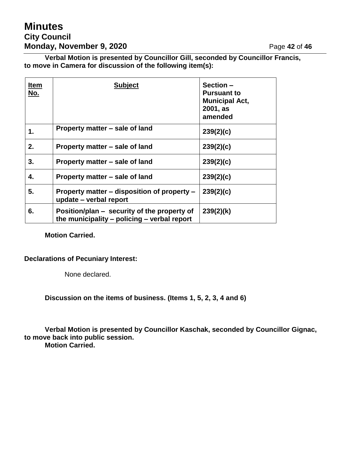## **Minutes City Council Monday, November 9, 2020** Page 42 of 46

**Verbal Motion is presented by Councillor Gill, seconded by Councillor Francis, to move in Camera for discussion of the following item(s):**

| <b>Item</b><br>No. | <b>Subject</b>                                                                             | Section-<br><b>Pursuant to</b><br><b>Municipal Act,</b><br>2001, as<br>amended |
|--------------------|--------------------------------------------------------------------------------------------|--------------------------------------------------------------------------------|
| 1.                 | Property matter – sale of land                                                             | 239(2)(c)                                                                      |
| 2.                 | Property matter – sale of land                                                             | 239(2)(c)                                                                      |
| 3.                 | Property matter – sale of land                                                             | 239(2)(c)                                                                      |
| 4.                 | Property matter – sale of land                                                             | 239(2)(c)                                                                      |
| 5.                 | Property matter – disposition of property –<br>update – verbal report                      | 239(2)(c)                                                                      |
| 6.                 | Position/plan – security of the property of<br>the municipality – policing – verbal report | 239(2)(k)                                                                      |

**Motion Carried.**

### **Declarations of Pecuniary Interest:**

None declared.

**Discussion on the items of business. (Items 1, 5, 2, 3, 4 and 6)**

**Verbal Motion is presented by Councillor Kaschak, seconded by Councillor Gignac, to move back into public session. Motion Carried.**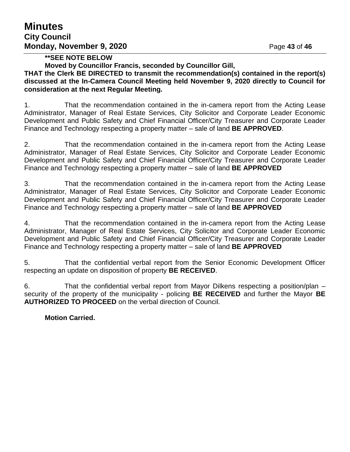### **\*\*SEE NOTE BELOW**

**Moved by Councillor Francis, seconded by Councillor Gill,**

**THAT the Clerk BE DIRECTED to transmit the recommendation(s) contained in the report(s) discussed at the In-Camera Council Meeting held November 9, 2020 directly to Council for consideration at the next Regular Meeting.**

1. That the recommendation contained in the in-camera report from the Acting Lease Administrator, Manager of Real Estate Services, City Solicitor and Corporate Leader Economic Development and Public Safety and Chief Financial Officer/City Treasurer and Corporate Leader Finance and Technology respecting a property matter – sale of land **BE APPROVED**.

2. That the recommendation contained in the in-camera report from the Acting Lease Administrator, Manager of Real Estate Services, City Solicitor and Corporate Leader Economic Development and Public Safety and Chief Financial Officer/City Treasurer and Corporate Leader Finance and Technology respecting a property matter – sale of land **BE APPROVED**

3. That the recommendation contained in the in-camera report from the Acting Lease Administrator, Manager of Real Estate Services, City Solicitor and Corporate Leader Economic Development and Public Safety and Chief Financial Officer/City Treasurer and Corporate Leader Finance and Technology respecting a property matter – sale of land **BE APPROVED**

4. That the recommendation contained in the in-camera report from the Acting Lease Administrator, Manager of Real Estate Services, City Solicitor and Corporate Leader Economic Development and Public Safety and Chief Financial Officer/City Treasurer and Corporate Leader Finance and Technology respecting a property matter – sale of land **BE APPROVED**

5. That the confidential verbal report from the Senior Economic Development Officer respecting an update on disposition of property **BE RECEIVED**.

6. That the confidential verbal report from Mayor Dilkens respecting a position/plan – security of the property of the municipality - policing **BE RECEIVED** and further the Mayor **BE AUTHORIZED TO PROCEED** on the verbal direction of Council.

### **Motion Carried.**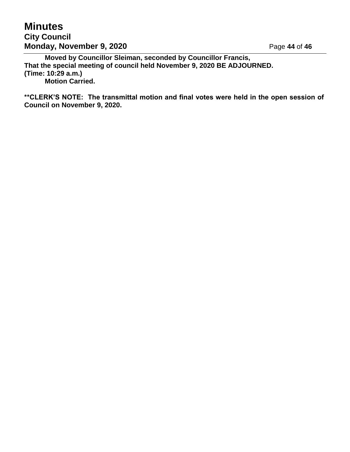## **Minutes City Council Monday, November 9, 2020** Page 44 of 46

**Moved by Councillor Sleiman, seconded by Councillor Francis, That the special meeting of council held November 9, 2020 BE ADJOURNED. (Time: 10:29 a.m.) Motion Carried.**

**\*\*CLERK'S NOTE: The transmittal motion and final votes were held in the open session of Council on November 9, 2020.**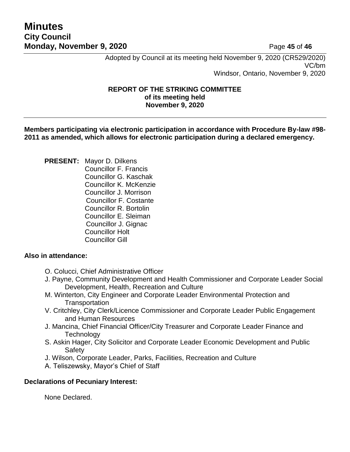## **Minutes City Council Monday, November 9, 2020** Page 45 of 46

Adopted by Council at its meeting held November 9, 2020 (CR529/2020) VC/bm Windsor, Ontario, November 9, 2020

#### **REPORT OF THE STRIKING COMMITTEE of its meeting held November 9, 2020**

**Members participating via electronic participation in accordance with Procedure By-law #98- 2011 as amended, which allows for electronic participation during a declared emergency.**

**PRESENT:** Mayor D. Dilkens Councillor F. Francis Councillor G. Kaschak Councillor K. McKenzie Councillor J. Morrison Councillor F. Costante Councillor R. Bortolin Councillor E. Sleiman Councillor J. Gignac Councillor Holt Councillor Gill

### **Also in attendance:**

- O. Colucci, Chief Administrative Officer
- J. Payne, Community Development and Health Commissioner and Corporate Leader Social Development, Health, Recreation and Culture
- M. Winterton, City Engineer and Corporate Leader Environmental Protection and **Transportation**
- V. Critchley, City Clerk/Licence Commissioner and Corporate Leader Public Engagement and Human Resources
- J. Mancina, Chief Financial Officer/City Treasurer and Corporate Leader Finance and **Technology**
- S. Askin Hager, City Solicitor and Corporate Leader Economic Development and Public Safety
- J. Wilson, Corporate Leader, Parks, Facilities, Recreation and Culture
- A. Teliszewsky, Mayor's Chief of Staff

### **Declarations of Pecuniary Interest:**

None Declared.